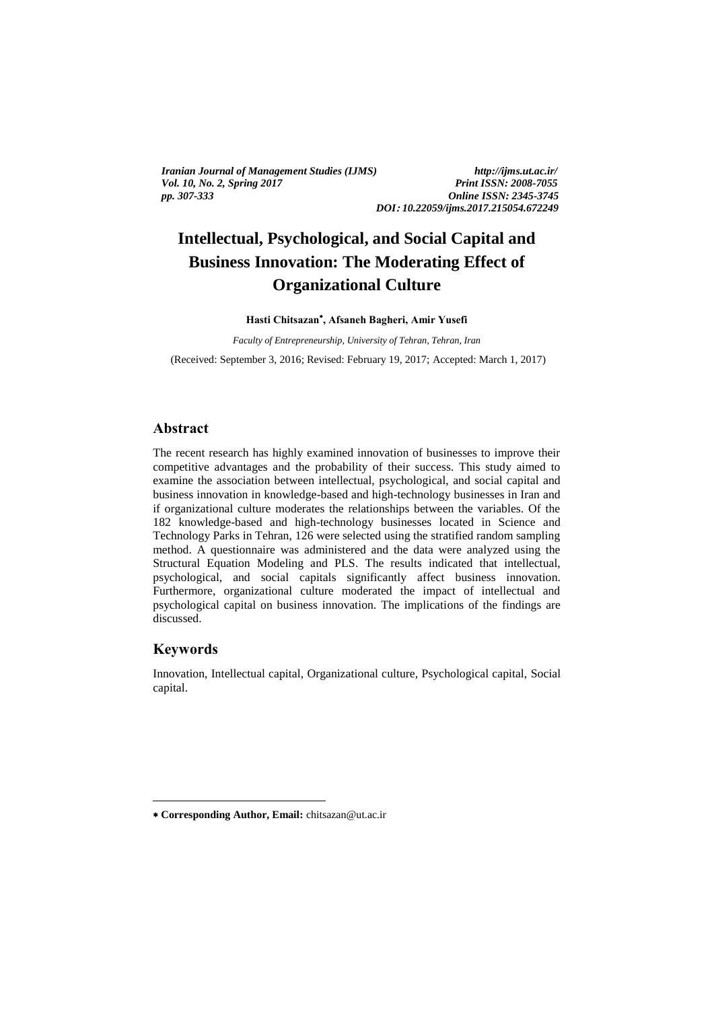*Iranian Journal of Management Studies (IJMS) http://ijms.ut.ac.ir/ Vol. 10, No. 2, Spring 2017 Print ISSN: 2008-7055 pp. 307-333 Online ISSN: 2345-3745*

*DOI***:** *10.22059/ijms.2017.215054.672249*

# **Intellectual, Psychological, and Social Capital and Business Innovation: The Moderating Effect of Organizational Culture**

**Hasti Chitsazan , Afsaneh Bagheri, Amir Yusefi**

*Faculty of Entrepreneurship, University of Tehran, Tehran, Iran*

(Received: September 3, 2016; Revised: February 19, 2017; Accepted: March 1, 2017)

# **Abstract**

The recent research has highly examined innovation of businesses to improve their competitive advantages and the probability of their success. This study aimed to examine the association between intellectual, psychological, and social capital and business innovation in knowledge-based and high-technology businesses in Iran and if organizational culture moderates the relationships between the variables. Of the 182 knowledge-based and high-technology businesses located in Science and Technology Parks in Tehran, 126 were selected using the stratified random sampling method. A questionnaire was administered and the data were analyzed using the Structural Equation Modeling and PLS. The results indicated that intellectual, psychological, and social capitals significantly affect business innovation. Furthermore, organizational culture moderated the impact of intellectual and psychological capital on business innovation. The implications of the findings are discussed.

### **Keywords**

1

Innovation, Intellectual capital, Organizational culture, Psychological capital, Social capital.

**Corresponding Author, Email:** chitsazan@ut.ac.ir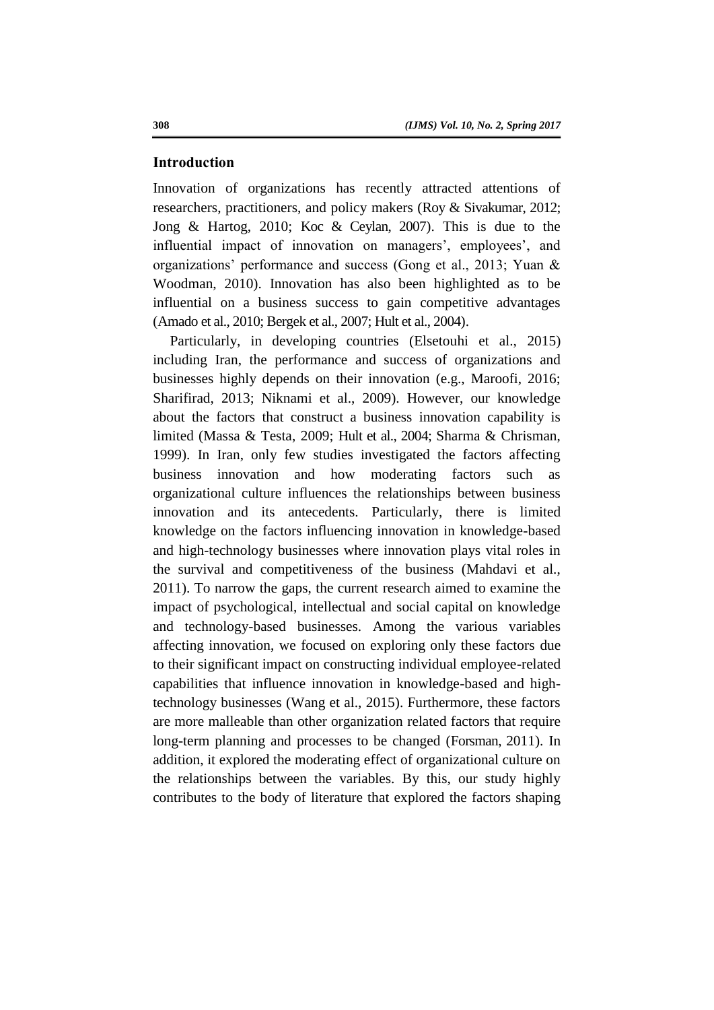### **Introduction**

Innovation of organizations has recently attracted attentions of researchers, practitioners, and policy makers (Roy & Sivakumar, 2012; Jong & Hartog, 2010; Koc & Ceylan, 2007). This is due to the influential impact of innovation on managers', employees', and organizations' performance and success (Gong et al., 2013; Yuan & Woodman, 2010). Innovation has also been highlighted as to be influential on a business success to gain competitive advantages (Amado et al., 2010; Bergek et al., 2007; Hult et al., 2004).

Particularly, in developing countries (Elsetouhi et al., 2015) including Iran, the performance and success of organizations and businesses highly depends on their innovation (e.g., Maroofi, 2016; Sharifirad, 2013; Niknami et al., 2009). However, our knowledge about the factors that construct a business innovation capability is limited (Massa & Testa, 2009; Hult et al., 2004; Sharma & Chrisman, 1999). In Iran, only few studies investigated the factors affecting business innovation and how moderating factors such as organizational culture influences the relationships between business innovation and its antecedents. Particularly, there is limited knowledge on the factors influencing innovation in knowledge-based and high-technology businesses where innovation plays vital roles in the survival and competitiveness of the business (Mahdavi et al., 2011). To narrow the gaps, the current research aimed to examine the impact of psychological, intellectual and social capital on knowledge and technology-based businesses. Among the various variables affecting innovation, we focused on exploring only these factors due to their significant impact on constructing individual employee-related capabilities that influence innovation in knowledge-based and hightechnology businesses (Wang et al., 2015). Furthermore, these factors are more malleable than other organization related factors that require long-term planning and processes to be changed (Forsman, 2011). In addition, it explored the moderating effect of organizational culture on the relationships between the variables. By this, our study highly contributes to the body of literature that explored the factors shaping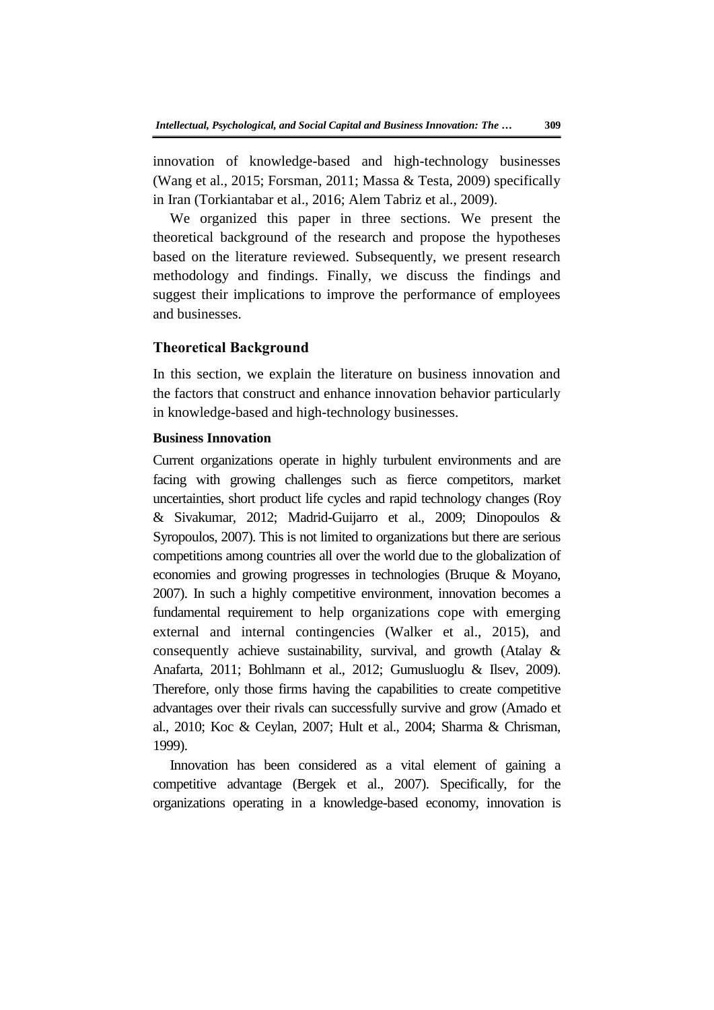innovation of knowledge-based and high-technology businesses (Wang et al., 2015; Forsman, 2011; Massa & Testa, 2009) specifically in Iran (Torkiantabar et al., 2016; Alem Tabriz et al., 2009).

We organized this paper in three sections. We present the theoretical background of the research and propose the hypotheses based on the literature reviewed. Subsequently, we present research methodology and findings. Finally, we discuss the findings and suggest their implications to improve the performance of employees and businesses.

# **Theoretical Background**

In this section, we explain the literature on business innovation and the factors that construct and enhance innovation behavior particularly in knowledge-based and high-technology businesses.

### **Business Innovation**

Current organizations operate in highly turbulent environments and are facing with growing challenges such as fierce competitors, market uncertainties, short product life cycles and rapid technology changes (Roy & Sivakumar, 2012; Madrid-Guijarro et al., 2009; Dinopoulos & Syropoulos, 2007). This is not limited to organizations but there are serious competitions among countries all over the world due to the globalization of economies and growing progresses in technologies (Bruque & Moyano, 2007). In such a highly competitive environment, innovation becomes a fundamental requirement to help organizations cope with emerging external and internal contingencies (Walker et al., 2015), and consequently achieve sustainability, survival, and growth (Atalay & Anafarta, 2011; Bohlmann et al., 2012; Gumusluoglu & Ilsev, 2009). Therefore, only those firms having the capabilities to create competitive advantages over their rivals can successfully survive and grow (Amado et al., 2010; Koc & Ceylan, 2007; Hult et al., 2004; Sharma & Chrisman, 1999).

Innovation has been considered as a vital element of gaining a competitive advantage (Bergek et al., 2007). Specifically, for the organizations operating in a knowledge-based economy, innovation is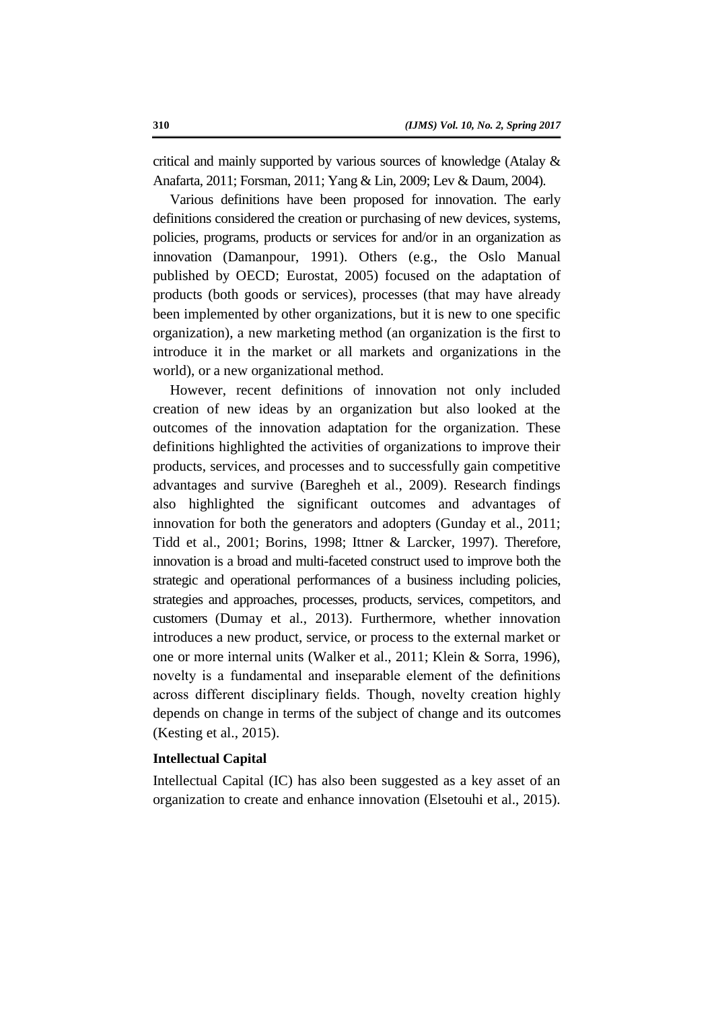critical and mainly supported by various sources of knowledge (Atalay & Anafarta, 2011; Forsman, 2011; Yang & Lin, 2009; Lev & Daum, 2004).

Various definitions have been proposed for innovation. The early definitions considered the creation or purchasing of new devices, systems, policies, programs, products or services for and/or in an organization as innovation (Damanpour, 1991). Others (e.g., the Oslo Manual published by OECD; Eurostat, 2005) focused on the adaptation of products (both goods or services), processes (that may have already been implemented by other organizations, but it is new to one specific organization), a new marketing method (an organization is the first to introduce it in the market or all markets and organizations in the world), or a new organizational method.

However, recent definitions of innovation not only included creation of new ideas by an organization but also looked at the outcomes of the innovation adaptation for the organization. These definitions highlighted the activities of organizations to improve their products, services, and processes and to successfully gain competitive advantages and survive (Baregheh et al., 2009). Research findings also highlighted the significant outcomes and advantages of innovation for both the generators and adopters (Gunday et al., 2011; Tidd et al., 2001; Borins, 1998; Ittner & Larcker, 1997). Therefore, innovation is a broad and multi-faceted construct used to improve both the strategic and operational performances of a business including policies, strategies and approaches, processes, products, services, competitors, and customers (Dumay et al., 2013). Furthermore, whether innovation introduces a new product, service, or process to the external market or one or more internal units (Walker et al., 2011; Klein & Sorra, 1996), novelty is a fundamental and inseparable element of the definitions across different disciplinary fields. Though, novelty creation highly depends on change in terms of the subject of change and its outcomes (Kesting et al., 2015).

# **Intellectual Capital**

Intellectual Capital (IC) has also been suggested as a key asset of an organization to create and enhance innovation (Elsetouhi et al., 2015).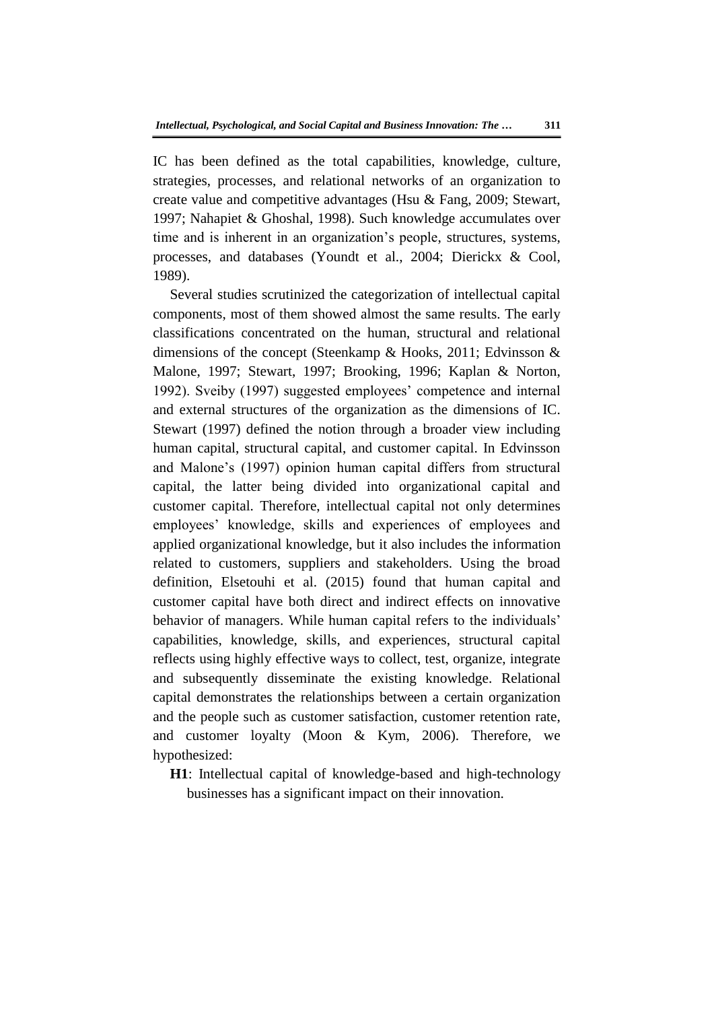IC has been defined as the total capabilities, knowledge, culture, strategies, processes, and relational networks of an organization to create value and competitive advantages (Hsu & Fang, 2009; Stewart, 1997; Nahapiet & Ghoshal, 1998). Such knowledge accumulates over time and is inherent in an organization's people, structures, systems, processes, and databases (Youndt et al., 2004; Dierickx & Cool, 1989).

Several studies scrutinized the categorization of intellectual capital components, most of them showed almost the same results. The early classifications concentrated on the human, structural and relational dimensions of the concept (Steenkamp & Hooks, 2011; Edvinsson & Malone, 1997; Stewart, 1997; Brooking, 1996; Kaplan & Norton, 1992). Sveiby (1997) suggested employees' competence and internal and external structures of the organization as the dimensions of IC. Stewart (1997) defined the notion through a broader view including human capital, structural capital, and customer capital. In Edvinsson and Malone's (1997) opinion human capital differs from structural capital, the latter being divided into organizational capital and customer capital. Therefore, intellectual capital not only determines employees' knowledge, skills and experiences of employees and applied organizational knowledge, but it also includes the information related to customers, suppliers and stakeholders. Using the broad definition, Elsetouhi et al. (2015) found that human capital and customer capital have both direct and indirect effects on innovative behavior of managers. While human capital refers to the individuals' capabilities, knowledge, skills, and experiences, structural capital reflects using highly effective ways to collect, test, organize, integrate and subsequently disseminate the existing knowledge. Relational capital demonstrates the relationships between a certain organization and the people such as customer satisfaction, customer retention rate, and customer loyalty (Moon & Kym, 2006). Therefore, we hypothesized:

**H1**: Intellectual capital of knowledge-based and high-technology businesses has a significant impact on their innovation.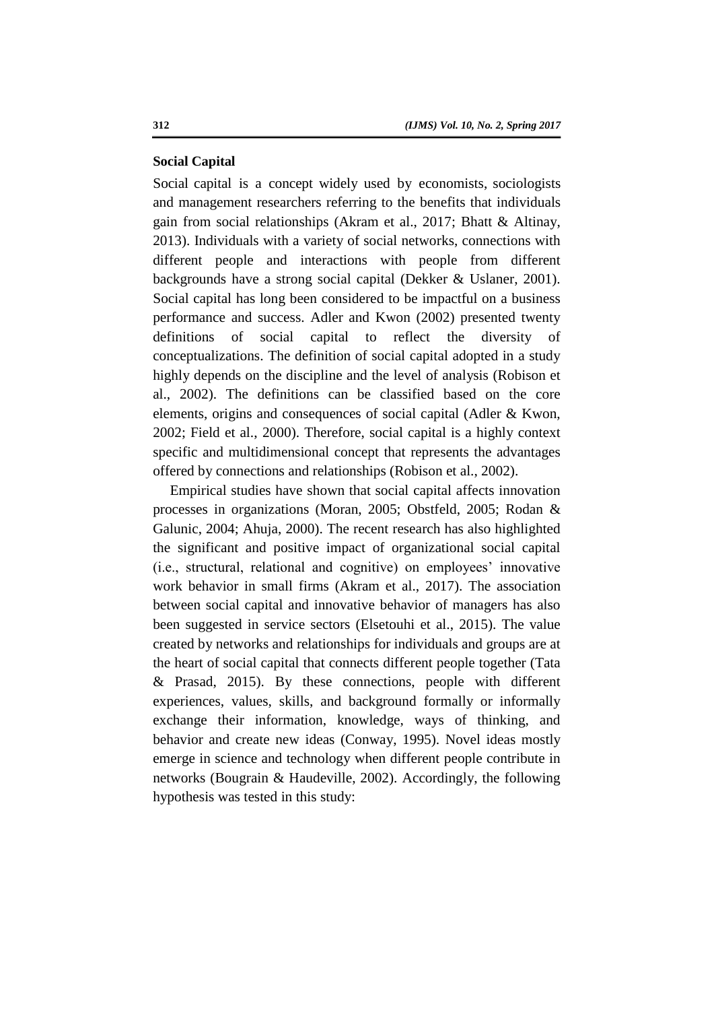### **Social Capital**

Social capital is a concept widely used by economists, sociologists and management researchers referring to the benefits that individuals gain from social relationships (Akram et al., 2017; Bhatt & Altinay, 2013). Individuals with a variety of social networks, connections with different people and interactions with people from different backgrounds have a strong social capital (Dekker & Uslaner, 2001). Social capital has long been considered to be impactful on a business performance and success. Adler and Kwon (2002) presented twenty definitions of social capital to reflect the diversity of conceptualizations. The definition of social capital adopted in a study highly depends on the discipline and the level of analysis (Robison et al., 2002). The definitions can be classified based on the core elements, origins and consequences of social capital (Adler & Kwon, 2002; Field et al., 2000). Therefore, social capital is a highly context specific and multidimensional concept that represents the advantages offered by connections and relationships (Robison et al., 2002).

Empirical studies have shown that social capital affects innovation processes in organizations (Moran, 2005; Obstfeld, 2005; Rodan & Galunic, 2004; Ahuja, 2000). The recent research has also highlighted the significant and positive impact of organizational social capital (i.e., structural, relational and cognitive) on employees' innovative work behavior in small firms (Akram et al., 2017). The association between social capital and innovative behavior of managers has also been suggested in service sectors (Elsetouhi et al., 2015). The value created by networks and relationships for individuals and groups are at the heart of social capital that connects different people together (Tata & Prasad, 2015). By these connections, people with different experiences, values, skills, and background formally or informally exchange their information, knowledge, ways of thinking, and behavior and create new ideas (Conway, 1995). Novel ideas mostly emerge in science and technology when different people contribute in networks (Bougrain & Haudeville, 2002). Accordingly, the following hypothesis was tested in this study: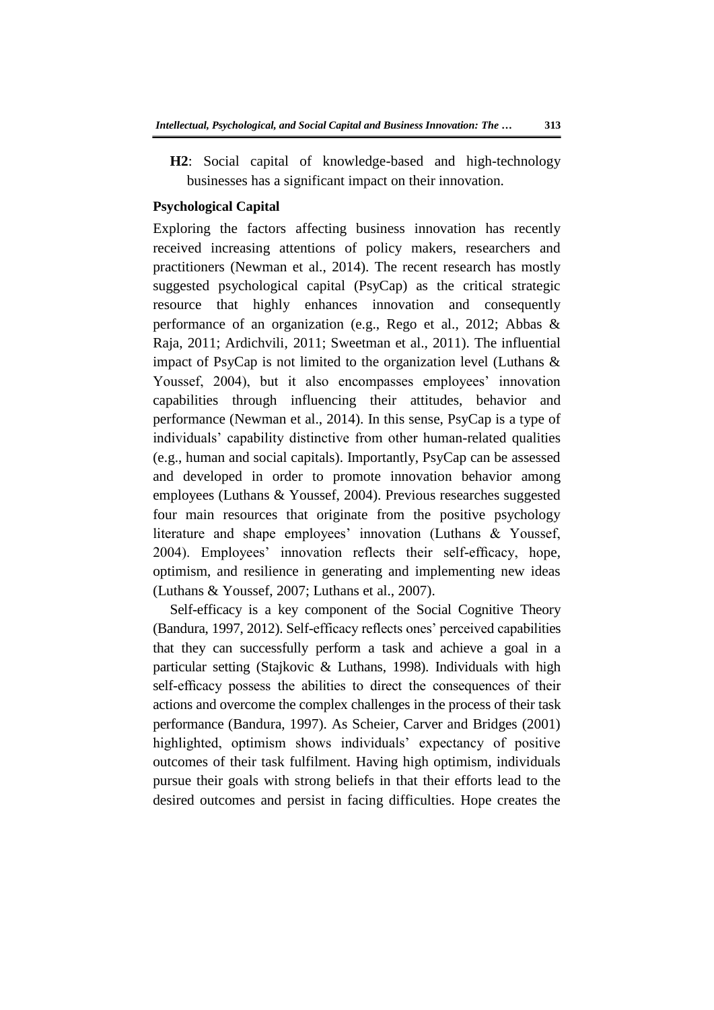**H2**: Social capital of knowledge-based and high-technology businesses has a significant impact on their innovation.

# **Psychological Capital**

Exploring the factors affecting business innovation has recently received increasing attentions of policy makers, researchers and practitioners (Newman et al., 2014). The recent research has mostly suggested psychological capital (PsyCap) as the critical strategic resource that highly enhances innovation and consequently performance of an organization (e.g., Rego et al., 2012; Abbas & Raja, 2011; Ardichvili, 2011; Sweetman et al., 2011). The influential impact of PsyCap is not limited to the organization level (Luthans & Youssef, 2004), but it also encompasses employees' innovation capabilities through influencing their attitudes, behavior and performance (Newman et al., 2014). In this sense, PsyCap is a type of individuals' capability distinctive from other human-related qualities (e.g., human and social capitals). Importantly, PsyCap can be assessed and developed in order to promote innovation behavior among employees (Luthans & Youssef, 2004). Previous researches suggested four main resources that originate from the positive psychology literature and shape employees' innovation (Luthans & Youssef, 2004). Employees' innovation reflects their self-efficacy, hope, optimism, and resilience in generating and implementing new ideas (Luthans & Youssef, 2007; Luthans et al., 2007).

Self-efficacy is a key component of the Social Cognitive Theory (Bandura, 1997, 2012). Self-efficacy reflects ones' perceived capabilities that they can successfully perform a task and achieve a goal in a particular setting (Stajkovic & Luthans, 1998). Individuals with high self-efficacy possess the abilities to direct the consequences of their actions and overcome the complex challenges in the process of their task performance (Bandura, 1997). As Scheier, Carver and Bridges (2001) highlighted, optimism shows individuals' expectancy of positive outcomes of their task fulfilment. Having high optimism, individuals pursue their goals with strong beliefs in that their efforts lead to the desired outcomes and persist in facing difficulties. Hope creates the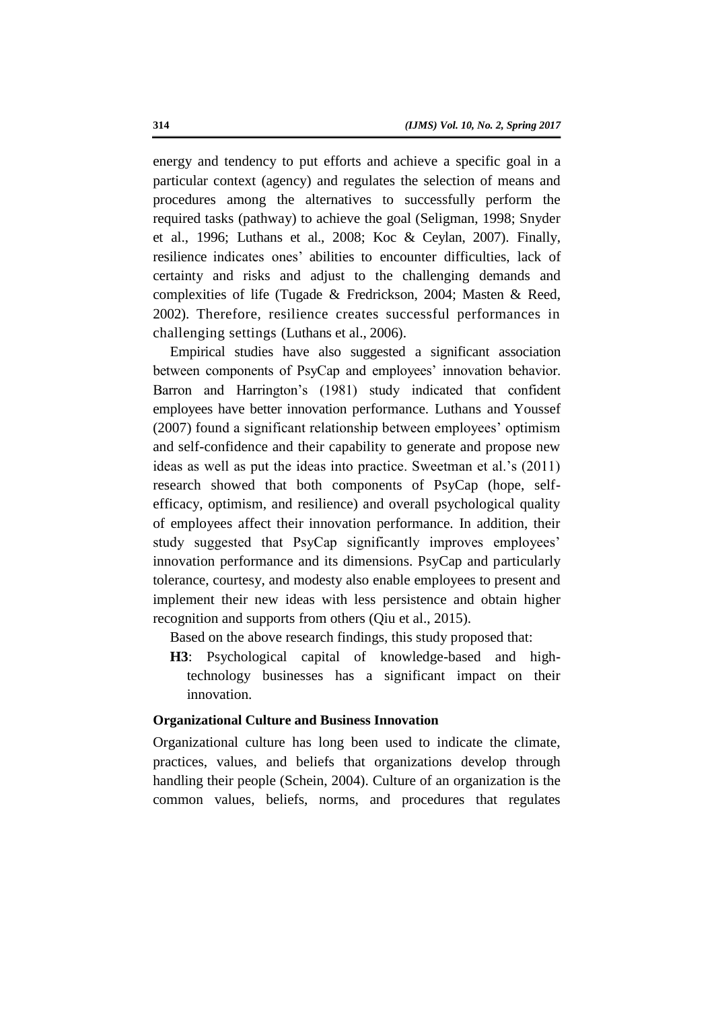energy and tendency to put efforts and achieve a specific goal in a particular context (agency) and regulates the selection of means and procedures among the alternatives to successfully perform the required tasks (pathway) to achieve the goal (Seligman, 1998; Snyder et al., 1996; Luthans et al., 2008; Koc & Ceylan, 2007). Finally, resilience indicates ones' abilities to encounter difficulties, lack of certainty and risks and adjust to the challenging demands and complexities of life (Tugade & Fredrickson, 2004; Masten & Reed, 2002). Therefore, resilience creates successful performances in challenging settings (Luthans et al., 2006).

Empirical studies have also suggested a significant association between components of PsyCap and employees' innovation behavior. Barron and Harrington's (1981) study indicated that confident employees have better innovation performance. Luthans and Youssef (2007) found a significant relationship between employees' optimism and self-confidence and their capability to generate and propose new ideas as well as put the ideas into practice. Sweetman et al.'s (2011) research showed that both components of PsyCap (hope, selfefficacy, optimism, and resilience) and overall psychological quality of employees affect their innovation performance. In addition, their study suggested that PsyCap significantly improves employees' innovation performance and its dimensions. PsyCap and particularly tolerance, courtesy, and modesty also enable employees to present and implement their new ideas with less persistence and obtain higher recognition and supports from others (Qiu et al., 2015).

Based on the above research findings, this study proposed that:

**H3**: Psychological capital of knowledge-based and hightechnology businesses has a significant impact on their innovation.

### **Organizational Culture and Business Innovation**

Organizational culture has long been used to indicate the climate, practices, values, and beliefs that organizations develop through handling their people (Schein, 2004). Culture of an organization is the common values, beliefs, norms, and procedures that regulates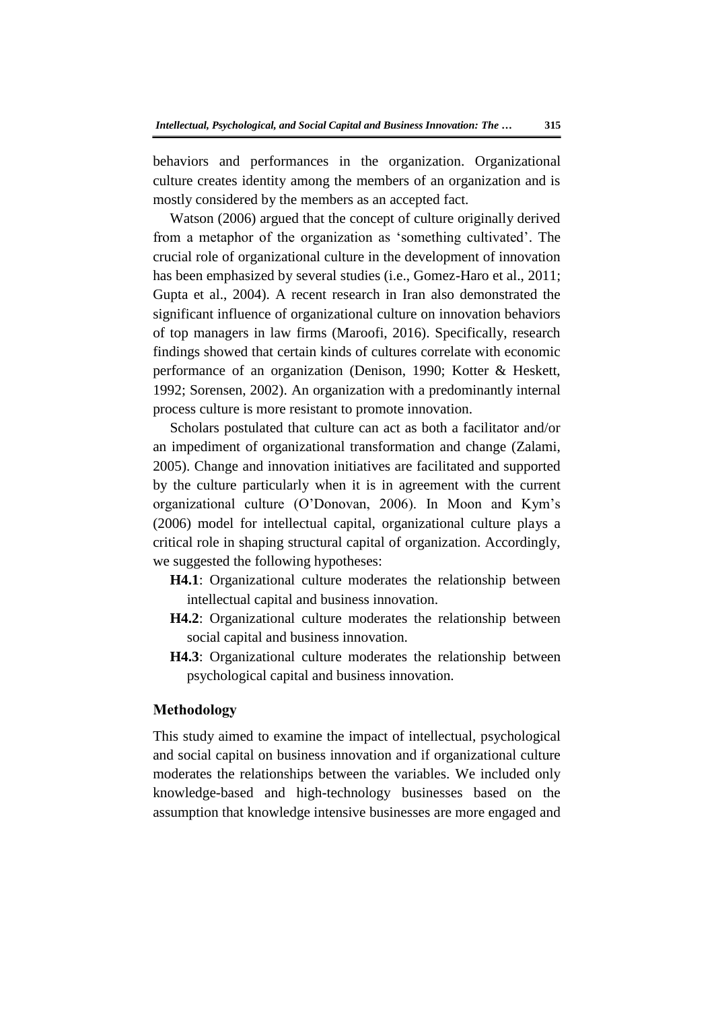behaviors and performances in the organization. Organizational culture creates identity among the members of an organization and is mostly considered by the members as an accepted fact.

Watson (2006) argued that the concept of culture originally derived from a metaphor of the organization as 'something cultivated'. The crucial role of organizational culture in the development of innovation has been emphasized by several studies (i.e., Gomez-Haro et al., 2011; Gupta et al., 2004). A recent research in Iran also demonstrated the significant influence of organizational culture on innovation behaviors of top managers in law firms (Maroofi, 2016). Specifically, research findings showed that certain kinds of cultures correlate with economic performance of an organization (Denison, 1990; Kotter & Heskett, 1992; Sorensen, 2002). An organization with a predominantly internal process culture is more resistant to promote innovation.

Scholars postulated that culture can act as both a facilitator and/or an impediment of organizational transformation and change (Zalami, 2005). Change and innovation initiatives are facilitated and supported by the culture particularly when it is in agreement with the current organizational culture (O'Donovan, 2006). In Moon and Kym's (2006) model for intellectual capital, organizational culture plays a critical role in shaping structural capital of organization. Accordingly, we suggested the following hypotheses:

**H4.1**: Organizational culture moderates the relationship between intellectual capital and business innovation.

- **H4.2**: Organizational culture moderates the relationship between social capital and business innovation.
- **H4.3**: Organizational culture moderates the relationship between psychological capital and business innovation.

# **Methodology**

This study aimed to examine the impact of intellectual, psychological and social capital on business innovation and if organizational culture moderates the relationships between the variables. We included only knowledge-based and high-technology businesses based on the assumption that knowledge intensive businesses are more engaged and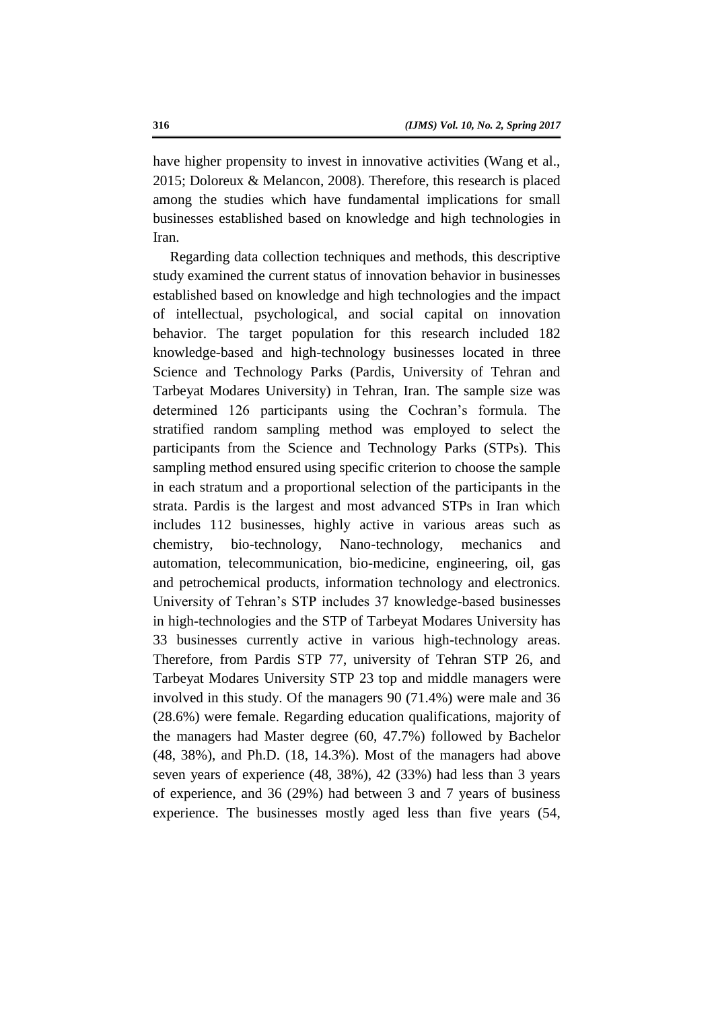have higher propensity to invest in innovative activities (Wang et al., 2015; Doloreux & Melancon, 2008). Therefore, this research is placed among the studies which have fundamental implications for small businesses established based on knowledge and high technologies in Iran.

Regarding data collection techniques and methods, this descriptive study examined the current status of innovation behavior in businesses established based on knowledge and high technologies and the impact of intellectual, psychological, and social capital on innovation behavior. The target population for this research included 182 knowledge-based and high-technology businesses located in three Science and Technology Parks (Pardis, University of Tehran and Tarbeyat Modares University) in Tehran, Iran. The sample size was determined 126 participants using the Cochran's formula. The stratified random sampling method was employed to select the participants from the Science and Technology Parks (STPs). This sampling method ensured using specific criterion to choose the sample in each stratum and a proportional selection of the participants in the strata. Pardis is the largest and most advanced STPs in Iran which includes 112 businesses, highly active in various areas such as chemistry, bio-technology, Nano-technology, mechanics and automation, telecommunication, bio-medicine, engineering, oil, gas and petrochemical products, information technology and electronics. University of Tehran's STP includes 37 knowledge-based businesses in high-technologies and the STP of Tarbeyat Modares University has 33 businesses currently active in various high-technology areas. Therefore, from Pardis STP 77, university of Tehran STP 26, and Tarbeyat Modares University STP 23 top and middle managers were involved in this study. Of the managers 90 (71.4%) were male and 36 (28.6%) were female. Regarding education qualifications, majority of the managers had Master degree (60, 47.7%) followed by Bachelor (48, 38%), and Ph.D. (18, 14.3%). Most of the managers had above seven years of experience (48, 38%), 42 (33%) had less than 3 years of experience, and 36 (29%) had between 3 and 7 years of business experience. The businesses mostly aged less than five years (54,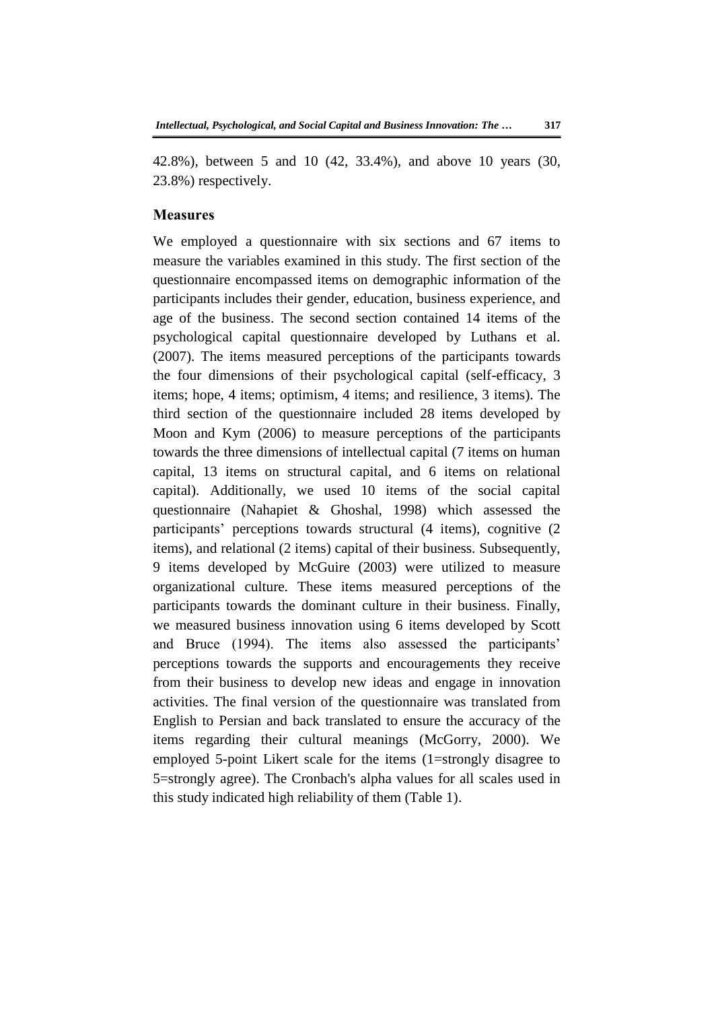42.8%), between 5 and 10 (42, 33.4%), and above 10 years (30, 23.8%) respectively.

#### **Measures**

We employed a questionnaire with six sections and 67 items to measure the variables examined in this study. The first section of the questionnaire encompassed items on demographic information of the participants includes their gender, education, business experience, and age of the business. The second section contained 14 items of the psychological capital questionnaire developed by Luthans et al. (2007). The items measured perceptions of the participants towards the four dimensions of their psychological capital (self-efficacy, 3 items; hope, 4 items; optimism, 4 items; and resilience, 3 items). The third section of the questionnaire included 28 items developed by Moon and Kym (2006) to measure perceptions of the participants towards the three dimensions of intellectual capital (7 items on human capital, 13 items on structural capital, and 6 items on relational capital). Additionally, we used 10 items of the social capital questionnaire (Nahapiet & Ghoshal, 1998) which assessed the participants' perceptions towards structural (4 items), cognitive (2 items), and relational (2 items) capital of their business. Subsequently, 9 items developed by McGuire (2003) were utilized to measure organizational culture. These items measured perceptions of the participants towards the dominant culture in their business. Finally, we measured business innovation using 6 items developed by Scott and Bruce (1994). The items also assessed the participants' perceptions towards the supports and encouragements they receive from their business to develop new ideas and engage in innovation activities. The final version of the questionnaire was translated from English to Persian and back translated to ensure the accuracy of the items regarding their cultural meanings (McGorry, 2000). We employed 5-point Likert scale for the items (1=strongly disagree to 5=strongly agree). The Cronbach's alpha values for all scales used in this study indicated high reliability of them (Table 1).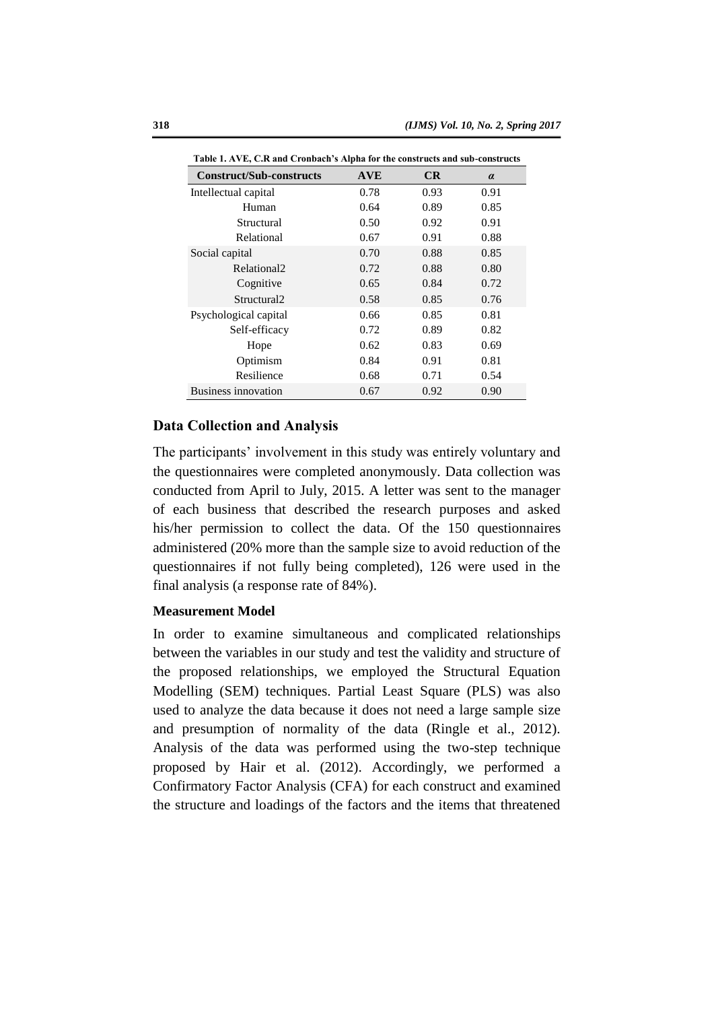| Tadie 1. Ave, C.K and Crondach's Alpha for the constructs and sud-constructs |            |      |          |
|------------------------------------------------------------------------------|------------|------|----------|
| <b>Construct/Sub-constructs</b>                                              | <b>AVE</b> | CR   | $\alpha$ |
| Intellectual capital                                                         | 0.78       | 0.93 | 0.91     |
| Human                                                                        | 0.64       | 0.89 | 0.85     |
| Structural                                                                   | 0.50       | 0.92 | 0.91     |
| Relational                                                                   | 0.67       | 0.91 | 0.88     |
| Social capital                                                               | 0.70       | 0.88 | 0.85     |
| Relational <sub>2</sub>                                                      | 0.72       | 0.88 | 0.80     |
| Cognitive                                                                    | 0.65       | 0.84 | 0.72     |
| Structural <sub>2</sub>                                                      | 0.58       | 0.85 | 0.76     |
| Psychological capital                                                        | 0.66       | 0.85 | 0.81     |
| Self-efficacy                                                                | 0.72       | 0.89 | 0.82     |
| Hope                                                                         | 0.62       | 0.83 | 0.69     |
| Optimism                                                                     | 0.84       | 0.91 | 0.81     |
| Resilience                                                                   | 0.68       | 0.71 | 0.54     |
| <b>Business innovation</b>                                                   | 0.67       | 0.92 | 0.90     |

**Table 1. AVE, C.R and Cronbach's Alpha for the constructs and sub-constructs**

# **Data Collection and Analysis**

The participants' involvement in this study was entirely voluntary and the questionnaires were completed anonymously. Data collection was conducted from April to July, 2015. A letter was sent to the manager of each business that described the research purposes and asked his/her permission to collect the data. Of the 150 questionnaires administered (20% more than the sample size to avoid reduction of the questionnaires if not fully being completed), 126 were used in the final analysis (a response rate of 84%).

### **Measurement Model**

In order to examine simultaneous and complicated relationships between the variables in our study and test the validity and structure of the proposed relationships, we employed the Structural Equation Modelling (SEM) techniques. Partial Least Square (PLS) was also used to analyze the data because it does not need a large sample size and presumption of normality of the data (Ringle et al., 2012). Analysis of the data was performed using the two-step technique proposed by Hair et al. (2012). Accordingly, we performed a Confirmatory Factor Analysis (CFA) for each construct and examined the structure and loadings of the factors and the items that threatened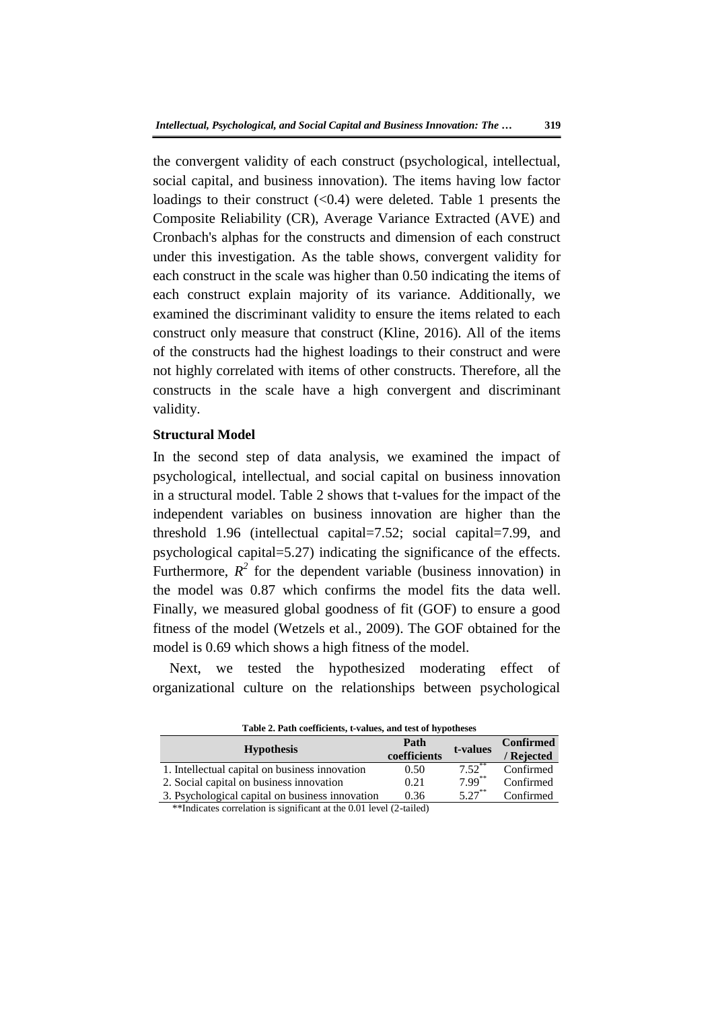the convergent validity of each construct (psychological, intellectual, social capital, and business innovation). The items having low factor loadings to their construct  $\langle 0.4 \rangle$  were deleted. Table 1 presents the Composite Reliability (CR), Average Variance Extracted (AVE) and Cronbach's alphas for the constructs and dimension of each construct under this investigation. As the table shows, convergent validity for each construct in the scale was higher than 0.50 indicating the items of each construct explain majority of its variance. Additionally, we examined the discriminant validity to ensure the items related to each construct only measure that construct (Kline, 2016). All of the items of the constructs had the highest loadings to their construct and were not highly correlated with items of other constructs. Therefore, all the constructs in the scale have a high convergent and discriminant validity.

### **Structural Model**

In the second step of data analysis, we examined the impact of psychological, intellectual, and social capital on business innovation in a structural model. Table 2 shows that t-values for the impact of the independent variables on business innovation are higher than the threshold 1.96 (intellectual capital=7.52; social capital=7.99, and psychological capital=5.27) indicating the significance of the effects. Furthermore,  $R^2$  for the dependent variable (business innovation) in the model was 0.87 which confirms the model fits the data well. Finally, we measured global goodness of fit (GOF) to ensure a good fitness of the model (Wetzels et al., 2009). The GOF obtained for the model is 0.69 which shows a high fitness of the model.

Next, we tested the hypothesized moderating effect of organizational culture on the relationships between psychological

| <b>Table 2. Path coefficients, t-values, and lest of hypotheses</b> |                      |                      |                                |
|---------------------------------------------------------------------|----------------------|----------------------|--------------------------------|
| <b>Hypothesis</b>                                                   | Path<br>coefficients | t-values             | <b>Confirmed</b><br>/ Rejected |
| 1. Intellectual capital on business innovation                      | 0.50                 | $7.52$ <sup>**</sup> | Confirmed                      |
| 2. Social capital on business innovation                            | 0.21                 | $7.99***$            | Confirmed                      |
| 3. Psychological capital on business innovation                     | 0.36                 | $5.27***$            | Confirmed                      |
| **Indicates correlation is significant at the 0.01 level (2-tailed) |                      |                      |                                |

**Table 2. Path coefficients, t-values, and test of hypotheses**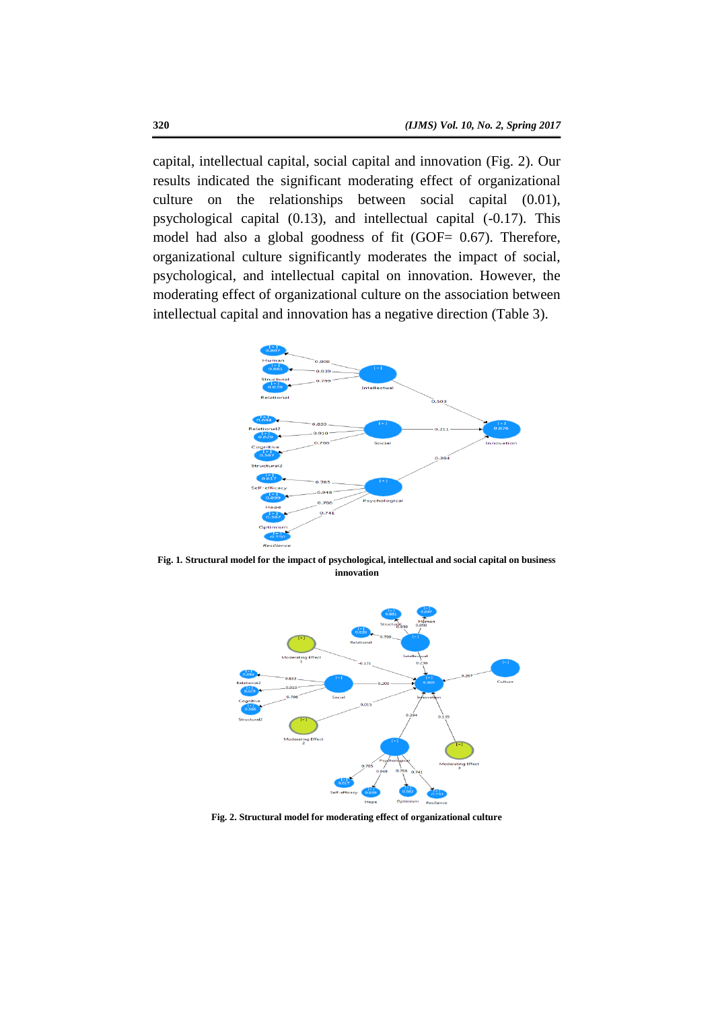capital, intellectual capital, social capital and innovation (Fig. 2). Our results indicated the significant moderating effect of organizational culture on the relationships between social capital (0.01), psychological capital (0.13), and intellectual capital (-0.17). This model had also a global goodness of fit (GOF= 0.67). Therefore, organizational culture significantly moderates the impact of social, psychological, and intellectual capital on innovation. However, the moderating effect of organizational culture on the association between intellectual capital and innovation has a negative direction (Table 3).



**Fig. 1***.* **Structural model for the impact of psychological, intellectual and social capital on business innovation**



**Fig. 2. Structural model for moderating effect of organizational culture**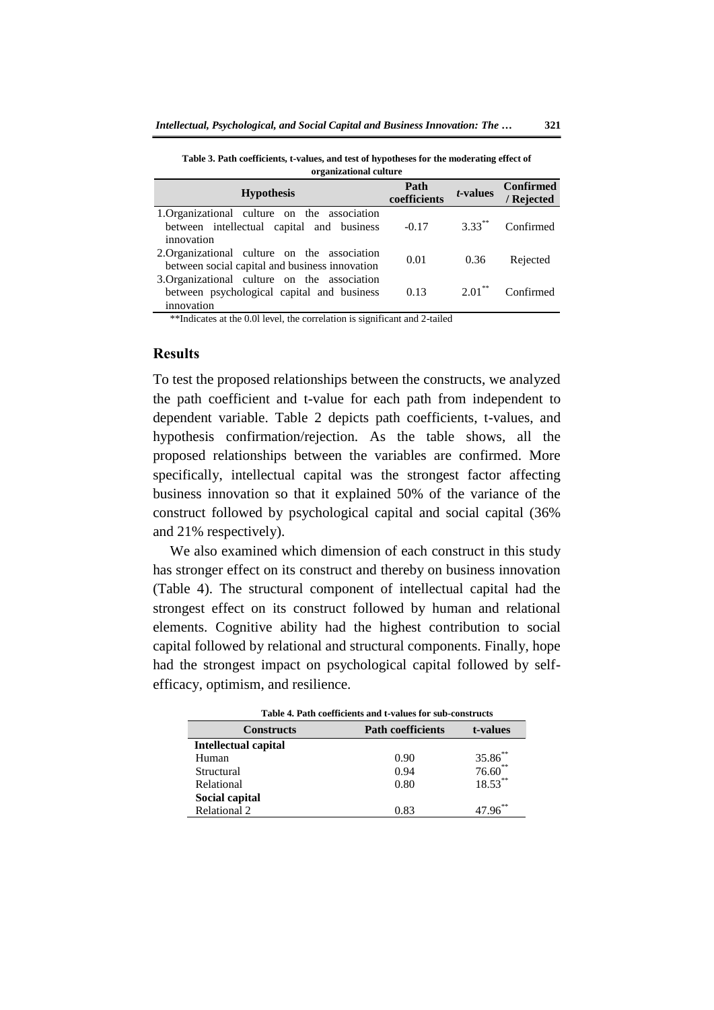**Table 3. Path coefficients, t-values, and test of hypotheses for the moderating effect of organizational culture**

| <b>Hypothesis</b>                                                                                        | Path<br>coefficients | $t$ -values          | <b>Confirmed</b><br>/ Rejected |
|----------------------------------------------------------------------------------------------------------|----------------------|----------------------|--------------------------------|
| 1.Organizational culture on the association<br>between intellectual capital and business<br>innovation   | $-0.17$              |                      | $3.33$ <sup>**</sup> Confirmed |
| 2. Organizational culture on the association<br>between social capital and business innovation           | 0.01                 | 0.36                 | Rejected                       |
| 3. Organizational culture on the association<br>between psychological capital and business<br>innovation | 0.13                 | $2.01$ <sup>**</sup> | Confirmed                      |

\*\*Indicates at the 0.0l level, the correlation is significant and 2-tailed

### **Results**

To test the proposed relationships between the constructs, we analyzed the path coefficient and t-value for each path from independent to dependent variable. Table 2 depicts path coefficients, t-values, and hypothesis confirmation/rejection. As the table shows, all the proposed relationships between the variables are confirmed. More specifically, intellectual capital was the strongest factor affecting business innovation so that it explained 50% of the variance of the construct followed by psychological capital and social capital (36% and 21% respectively).

We also examined which dimension of each construct in this study has stronger effect on its construct and thereby on business innovation (Table 4). The structural component of intellectual capital had the strongest effect on its construct followed by human and relational elements. Cognitive ability had the highest contribution to social capital followed by relational and structural components. Finally, hope had the strongest impact on psychological capital followed by selfefficacy, optimism, and resilience.

| Table 4. Path coefficients and t-values for sub-constructs |                          |              |
|------------------------------------------------------------|--------------------------|--------------|
| <b>Constructs</b>                                          | <b>Path coefficients</b> | t-values     |
| Intellectual capital                                       |                          |              |
| Human                                                      | 0.90                     | $35.86^{**}$ |
| Structural                                                 | 0.94                     | $76.60$ **   |
| Relational                                                 | 0.80                     | $18.53***$   |
| Social capital                                             |                          |              |
| Relational 2                                               | 0.83                     |              |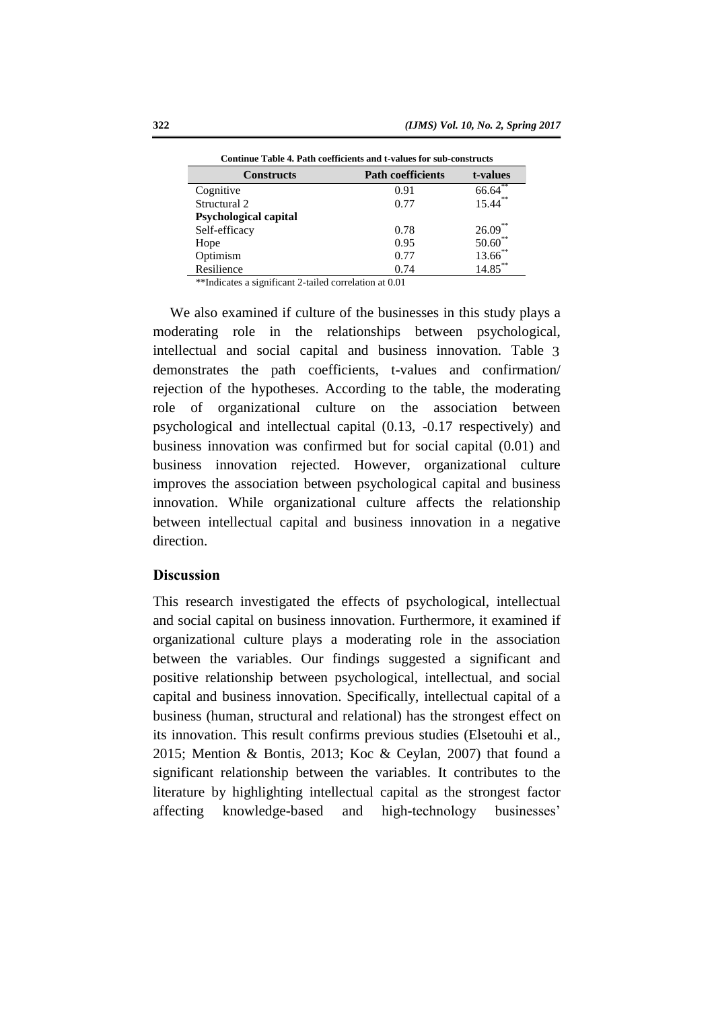| социнас таоле 7, таан соснислив ана с танасл гот зао-соции асс |                          |                 |  |
|----------------------------------------------------------------|--------------------------|-----------------|--|
| <b>Constructs</b>                                              | <b>Path coefficients</b> | t-values        |  |
| Cognitive                                                      | 0.91                     | **<br>66.64     |  |
| Structural 2                                                   | 0.77                     | $15.44***$      |  |
| <b>Psychological capital</b>                                   |                          |                 |  |
| Self-efficacy                                                  | 0.78                     | 26.09           |  |
| Hope                                                           | 0.95                     | $50.60^{\circ}$ |  |
| Optimism                                                       | 0.77                     | $13.66^*$       |  |
| Resilience                                                     | 0.74                     | $14.85***$      |  |

**Continue Table 4. Path coefficients and t-values for sub-constructs**

\*\*Indicates a significant 2-tailed correlation at 0.01

We also examined if culture of the businesses in this study plays a moderating role in the relationships between psychological, intellectual and social capital and business innovation. Table 3demonstrates the path coefficients, t-values and confirmation/ rejection of the hypotheses. According to the table, the moderating role of organizational culture on the association between psychological and intellectual capital (0.13, -0.17 respectively) and business innovation was confirmed but for social capital (0.01) and business innovation rejected. However, organizational culture improves the association between psychological capital and business innovation. While organizational culture affects the relationship between intellectual capital and business innovation in a negative direction.

### **Discussion**

This research investigated the effects of psychological, intellectual and social capital on business innovation. Furthermore, it examined if organizational culture plays a moderating role in the association between the variables. Our findings suggested a significant and positive relationship between psychological, intellectual, and social capital and business innovation. Specifically, intellectual capital of a business (human, structural and relational) has the strongest effect on its innovation. This result confirms previous studies (Elsetouhi et al., 2015; Mention & Bontis, 2013; Koc & Ceylan, 2007) that found a significant relationship between the variables. It contributes to the literature by highlighting intellectual capital as the strongest factor affecting knowledge-based and high-technology businesses'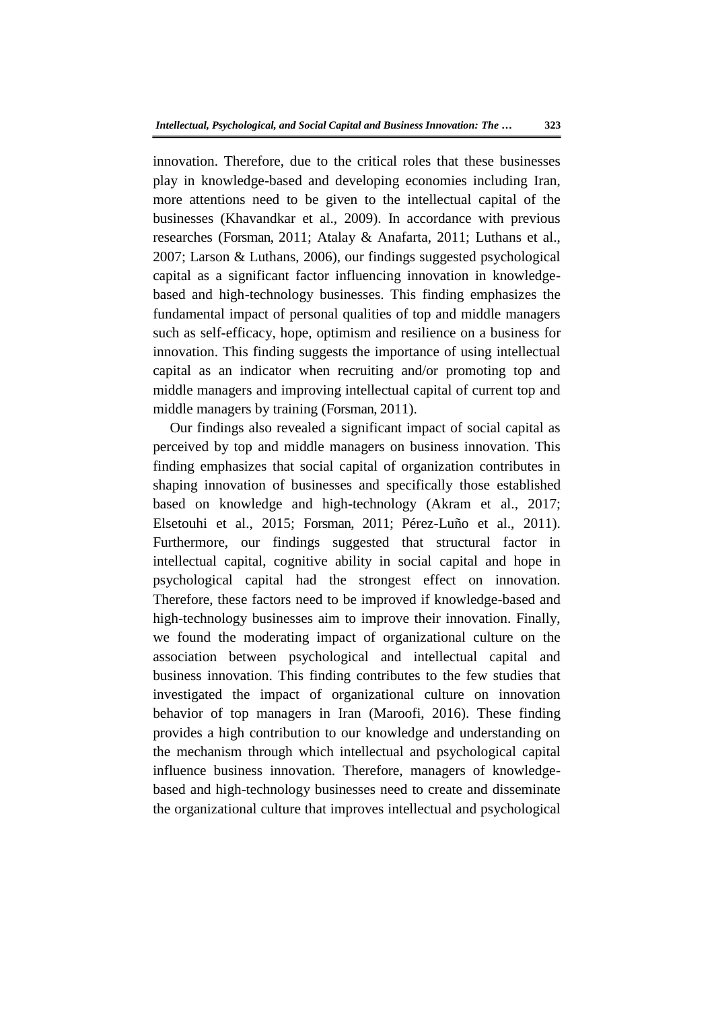innovation. Therefore, due to the critical roles that these businesses play in knowledge-based and developing economies including Iran, more attentions need to be given to the intellectual capital of the businesses (Khavandkar et al., 2009). In accordance with previous researches (Forsman, 2011; Atalay & Anafarta, 2011; Luthans et al., 2007; Larson & Luthans, 2006), our findings suggested psychological capital as a significant factor influencing innovation in knowledgebased and high-technology businesses. This finding emphasizes the fundamental impact of personal qualities of top and middle managers such as self-efficacy, hope, optimism and resilience on a business for innovation. This finding suggests the importance of using intellectual capital as an indicator when recruiting and/or promoting top and middle managers and improving intellectual capital of current top and middle managers by training (Forsman, 2011).

Our findings also revealed a significant impact of social capital as perceived by top and middle managers on business innovation. This finding emphasizes that social capital of organization contributes in shaping innovation of businesses and specifically those established based on knowledge and high-technology (Akram et al., 2017; Elsetouhi et al., 2015; Forsman, 2011; Pérez-Luño et al., 2011). Furthermore, our findings suggested that structural factor in intellectual capital, cognitive ability in social capital and hope in psychological capital had the strongest effect on innovation. Therefore, these factors need to be improved if knowledge-based and high-technology businesses aim to improve their innovation. Finally, we found the moderating impact of organizational culture on the association between psychological and intellectual capital and business innovation. This finding contributes to the few studies that investigated the impact of organizational culture on innovation behavior of top managers in Iran (Maroofi, 2016). These finding provides a high contribution to our knowledge and understanding on the mechanism through which intellectual and psychological capital influence business innovation. Therefore, managers of knowledgebased and high-technology businesses need to create and disseminate the organizational culture that improves intellectual and psychological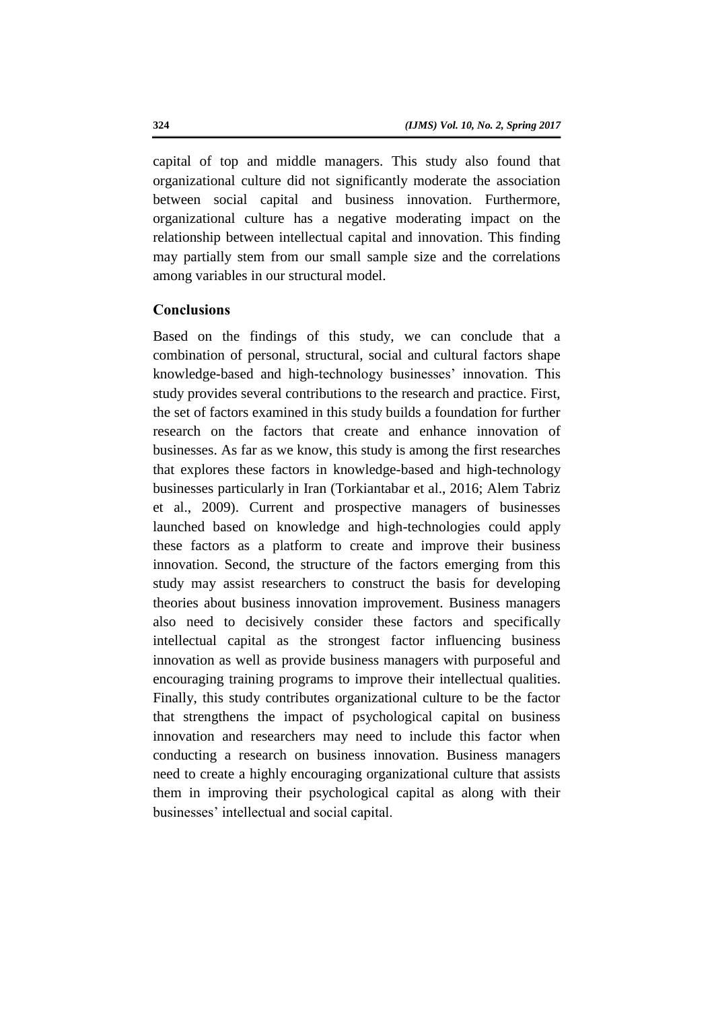capital of top and middle managers. This study also found that organizational culture did not significantly moderate the association between social capital and business innovation. Furthermore, organizational culture has a negative moderating impact on the relationship between intellectual capital and innovation. This finding may partially stem from our small sample size and the correlations among variables in our structural model.

# **Conclusions**

Based on the findings of this study, we can conclude that a combination of personal, structural, social and cultural factors shape knowledge-based and high-technology businesses' innovation. This study provides several contributions to the research and practice. First, the set of factors examined in this study builds a foundation for further research on the factors that create and enhance innovation of businesses. As far as we know, this study is among the first researches that explores these factors in knowledge-based and high-technology businesses particularly in Iran (Torkiantabar et al., 2016; Alem Tabriz et al., 2009). Current and prospective managers of businesses launched based on knowledge and high-technologies could apply these factors as a platform to create and improve their business innovation. Second, the structure of the factors emerging from this study may assist researchers to construct the basis for developing theories about business innovation improvement. Business managers also need to decisively consider these factors and specifically intellectual capital as the strongest factor influencing business innovation as well as provide business managers with purposeful and encouraging training programs to improve their intellectual qualities. Finally, this study contributes organizational culture to be the factor that strengthens the impact of psychological capital on business innovation and researchers may need to include this factor when conducting a research on business innovation. Business managers need to create a highly encouraging organizational culture that assists them in improving their psychological capital as along with their businesses' intellectual and social capital.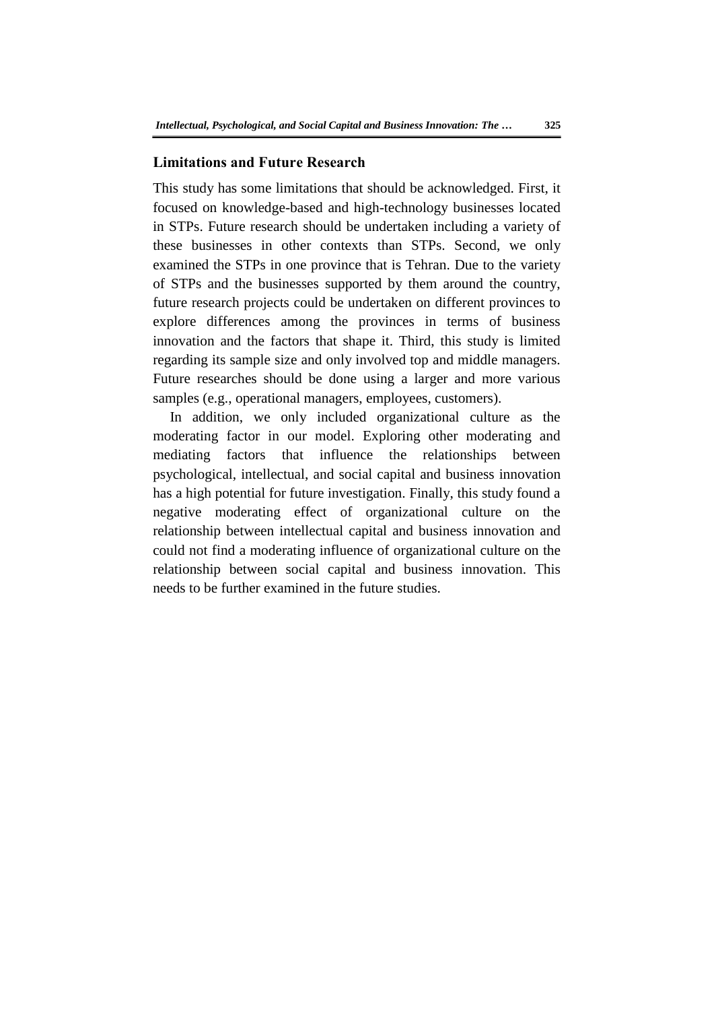### **Limitations and Future Research**

This study has some limitations that should be acknowledged. First, it focused on knowledge-based and high-technology businesses located in STPs. Future research should be undertaken including a variety of these businesses in other contexts than STPs. Second, we only examined the STPs in one province that is Tehran. Due to the variety of STPs and the businesses supported by them around the country, future research projects could be undertaken on different provinces to explore differences among the provinces in terms of business innovation and the factors that shape it. Third, this study is limited regarding its sample size and only involved top and middle managers. Future researches should be done using a larger and more various samples (e.g., operational managers, employees, customers).

In addition, we only included organizational culture as the moderating factor in our model. Exploring other moderating and mediating factors that influence the relationships between psychological, intellectual, and social capital and business innovation has a high potential for future investigation. Finally, this study found a negative moderating effect of organizational culture on the relationship between intellectual capital and business innovation and could not find a moderating influence of organizational culture on the relationship between social capital and business innovation. This needs to be further examined in the future studies.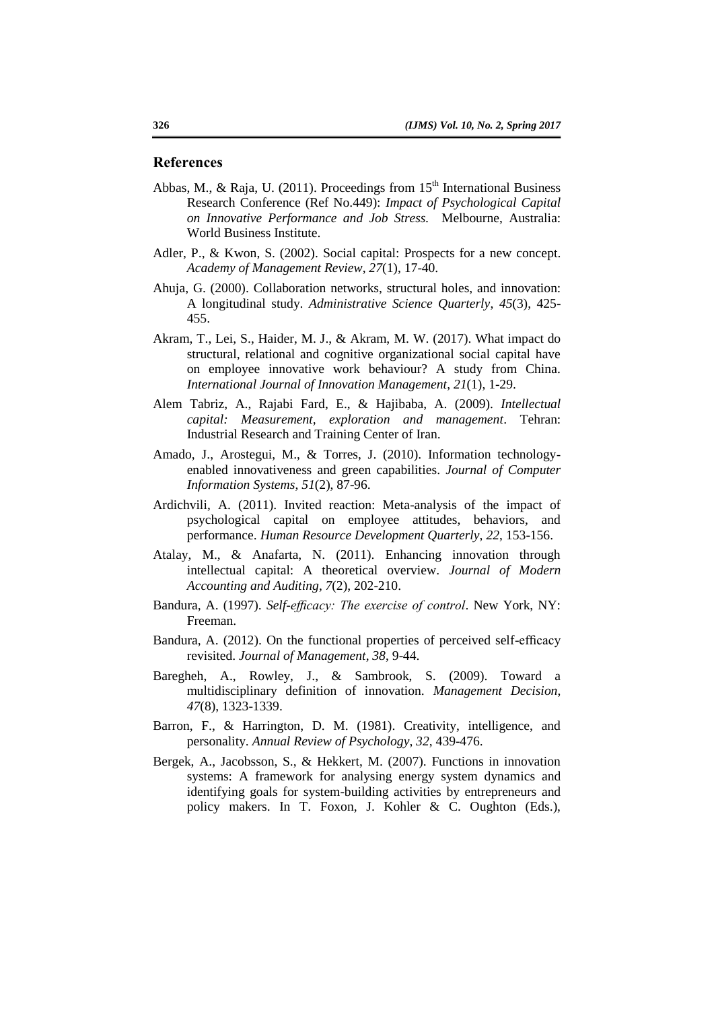#### **References**

- Abbas, M., & Raja, U. (2011). Proceedings from  $15<sup>th</sup>$  International Business Research Conference (Ref No.449): *Impact of Psychological Capital on Innovative Performance and Job Stress.* Melbourne, Australia: World Business Institute.
- Adler, P., & Kwon, S. (2002). Social capital: Prospects for a new concept. *Academy of Management Review*, *27*(1), 17-40.
- Ahuja, G. (2000). Collaboration networks, structural holes, and innovation: A longitudinal study. *Administrative Science Quarterly*, *45*(3), 425- 455.
- Akram, T., Lei, S., Haider, M. J., & Akram, M. W. (2017). What impact do structural, relational and cognitive organizational social capital have on employee innovative work behaviour? A study from China. *International Journal of Innovation Management*, *21*(1), 1-29.
- Alem Tabriz, A., Rajabi Fard, E., & Hajibaba, A. (2009). *Intellectual capital: Measurement, exploration and management*. Tehran: Industrial Research and Training Center of Iran.
- Amado, J., Arostegui, M., & Torres, J. (2010). Information technologyenabled innovativeness and green capabilities. *Journal of Computer Information Systems*, *51*(2), 87-96.
- Ardichvili, A. (2011). Invited reaction: Meta-analysis of the impact of psychological capital on employee attitudes, behaviors, and performance. *Human Resource Development Quarterly*, *22*, 153-156.
- Atalay, M., & Anafarta, N. (2011). Enhancing innovation through intellectual capital: A theoretical overview. *Journal of Modern Accounting and Auditing*, *7*(2), 202-210.
- Bandura, A. (1997). *Self-efficacy: The exercise of control*. New York, NY: Freeman.
- Bandura, A. (2012). On the functional properties of perceived self-efficacy revisited. *Journal of Management*, *38*, 9-44.
- Baregheh, A., Rowley, J., & Sambrook, S. (2009). Toward a multidisciplinary definition of innovation. *Management Decision*, *47*(8), 1323-1339.
- Barron, F., & Harrington, D. M. (1981). Creativity, intelligence, and personality. *Annual Review of Psychology*, *32*, 439-476.
- Bergek, A., Jacobsson, S., & Hekkert, M. (2007). Functions in innovation systems: A framework for analysing energy system dynamics and identifying goals for system-building activities by entrepreneurs and policy makers. In T. Foxon, J. Kohler & C. Oughton (Eds.),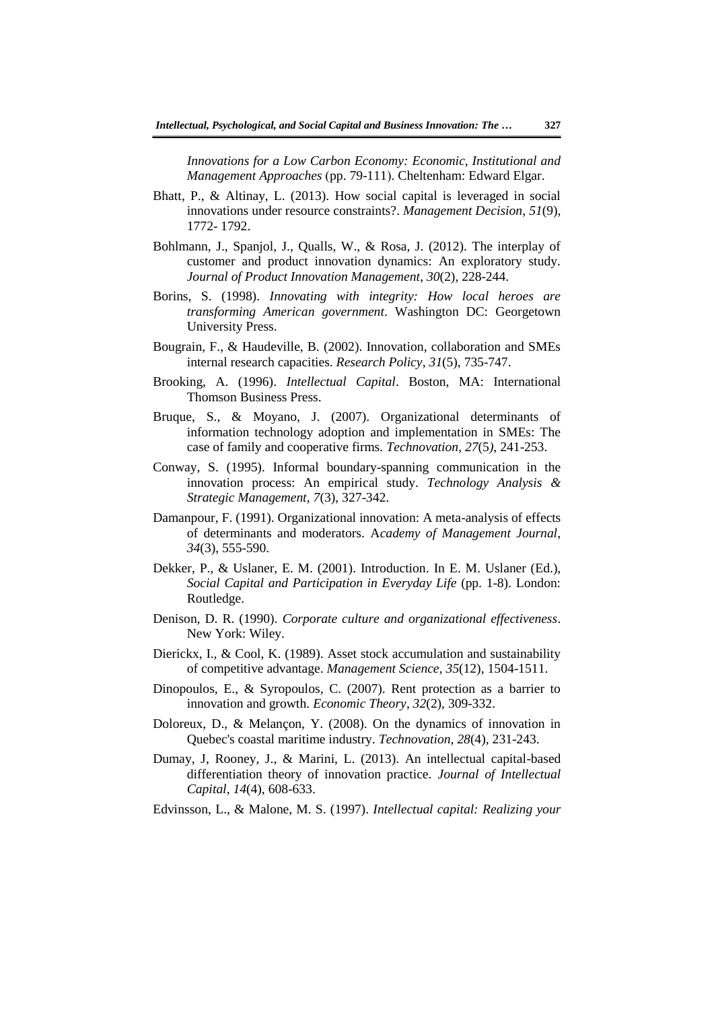*Innovations for a Low Carbon Economy: Economic, Institutional and Management Approaches (pp. 79-111). Cheltenham: Edward Elgar.* 

- Bhatt, P., & Altinay, L. (2013). How social capital is leveraged in social innovations under resource constraints?. *Management Decision*, *51*(9), 1772- 1792.
- Bohlmann, J., Spanjol, J., Qualls, W., & Rosa, J. (2012). The interplay of customer and product innovation dynamics: An exploratory study. *Journal of Product Innovation Management*, *30*(2), 228-244.
- Borins, S. (1998). *Innovating with integrity: How local heroes are transforming American government*. Washington DC: Georgetown University Press.
- Bougrain, F., & Haudeville, B. (2002). Innovation, collaboration and SMEs internal research capacities. *Research Policy*, *31*(5), 735-747.
- Brooking, A. (1996). *Intellectual Capital*. Boston, MA: International Thomson Business Press.
- Bruque, S., & Moyano, J. (2007). Organizational determinants of information technology adoption and implementation in SMEs: The case of family and cooperative firms. *Technovation*, *27*(5*)*, 241-253.
- Conway, S. (1995). Informal boundary-spanning communication in the innovation process: An empirical study. *Technology Analysis & Strategic Management*, *7*(3), 327-342.
- Damanpour, F. (1991). Organizational innovation: A meta-analysis of effects of determinants and moderators. A*cademy of Management Journal*, *34*(3), 555-590.
- Dekker, P., & Uslaner, E. M. (2001). Introduction. In E. M. Uslaner (Ed.), *Social Capital and Participation in Everyday Life* (pp. 1-8). London: Routledge.
- Denison, D. R. (1990). *Corporate culture and organizational effectiveness*. New York: Wiley.
- Dierickx, I., & Cool, K. (1989). Asset stock accumulation and sustainability of competitive advantage. *Management Science*, *35*(12), 1504-1511.
- Dinopoulos, E., & Syropoulos, C. (2007). Rent protection as a barrier to innovation and growth. *Economic Theory*, *32*(2), 309-332.
- Doloreux, D., & Melançon, Y. (2008). On the dynamics of innovation in Quebec's coastal maritime industry. *Technovation*, *28*(4), 231-243.
- Dumay, J, Rooney, J., & Marini, L. (2013). An intellectual capital-based differentiation theory of innovation practice. *Journal of Intellectual Capital*, *14*(4), 608-633.
- Edvinsson, L., & Malone, M. S. (1997). *Intellectual capital: Realizing your*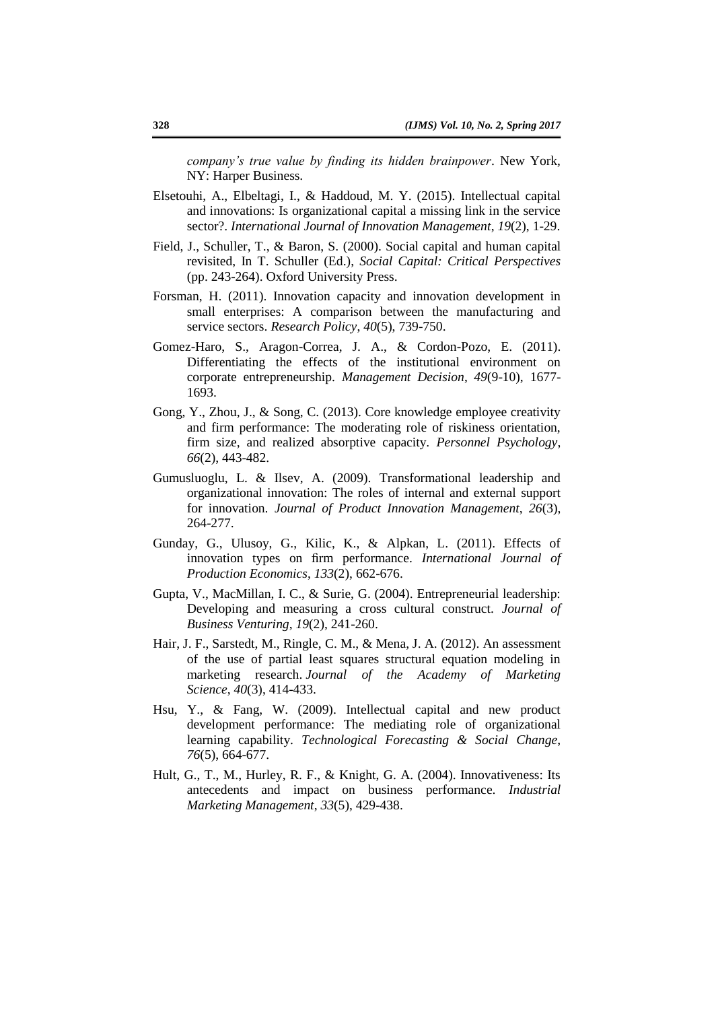*company's true value by finding its hidden brainpower*. New York, NY: Harper Business.

- Elsetouhi, A., Elbeltagi, I., & Haddoud, M. Y. (2015). Intellectual capital and innovations: Is organizational capital a missing link in the service sector?. *International Journal of Innovation Management*, *19*(2), 1-29.
- Field, J., Schuller, T., & Baron, S. (2000). Social capital and human capital revisited, In T. Schuller (Ed.), *Social Capital: Critical Perspectives* (pp. 243-264). Oxford University Press.
- Forsman, H. (2011). Innovation capacity and innovation development in small enterprises: A comparison between the manufacturing and service sectors. *Research Policy*, *40*(5), 739-750.
- Gomez-Haro, S., Aragon-Correa, J. A., & Cordon-Pozo, E. (2011). Differentiating the effects of the institutional environment on corporate entrepreneurship. *Management Decision*, *49*(9-10), 1677- 1693.
- Gong, Y., Zhou, J., & Song, C. (2013). Core knowledge employee creativity and firm performance: The moderating role of riskiness orientation, firm size, and realized absorptive capacity. *Personnel Psychology*, *66*(2), 443-482.
- Gumusluoglu, L. & Ilsev, A. (2009). Transformational leadership and organizational innovation: The roles of internal and external support for innovation. *Journal of Product Innovation Management*, *26*(3), 264-277.
- Gunday, G., Ulusoy, G., Kilic, K., & Alpkan, L. (2011). Effects of innovation types on firm performance. *International Journal of Production Economics*, *133*(2), 662-676.
- Gupta, V., MacMillan, I. C., & Surie, G. (2004). Entrepreneurial leadership: Developing and measuring a cross cultural construct. *Journal of Business Venturing*, *19*(2), 241-260.
- Hair, J. F., Sarstedt, M., Ringle, C. M., & Mena, J. A. (2012). An assessment of the use of partial least squares structural equation modeling in marketing research. *Journal of the Academy of Marketing Science*, *40*(3), 414-433.
- Hsu, Y., & Fang, W. (2009). Intellectual capital and new product development performance: The mediating role of organizational learning capability. *Technological Forecasting & Social Change*, *76*(5), 664-677.
- Hult, G., T., M., Hurley, R. F., & Knight, G. A. (2004). Innovativeness: Its antecedents and impact on business performance. *Industrial Marketing Management*, *33*(5), 429-438.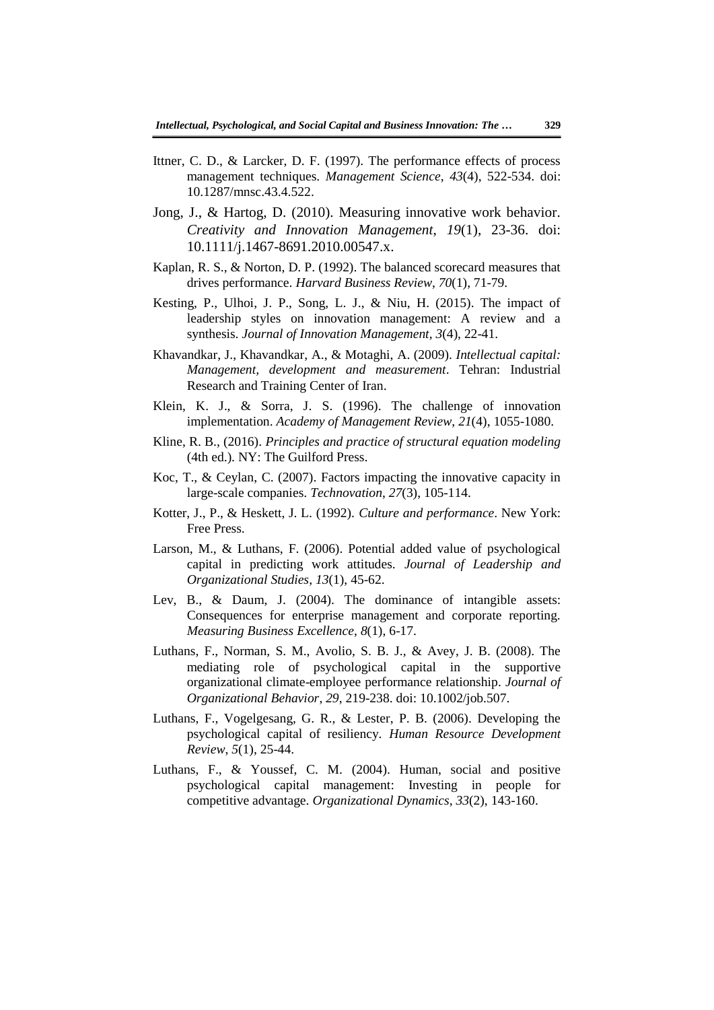- Ittner, C. D., & Larcker, D. F. (1997). The performance effects of process management techniques. *Management Science*, *43*(4), 522-534. doi: 10.1287/mnsc.43.4.522.
- Jong, J., & Hartog, D. (2010). Measuring innovative work behavior. *Creativity and Innovation Management*, *19*(1), 23-36. doi: 10.1111/j.1467-8691.2010.00547.x.
- Kaplan, R. S., & Norton, D. P. (1992). The balanced scorecard measures that drives performance. *Harvard Business Review*, *70*(1), 71-79.
- Kesting, P., Ulhoi, J. P., Song, L. J., & Niu, H. (2015). The impact of leadership styles on innovation management: A review and a synthesis. *Journal of Innovation Management*, *3*(4), 22-41.
- Khavandkar, J., Khavandkar, A., & Motaghi, A. (2009). *Intellectual capital: Management, development and measurement*. Tehran: Industrial Research and Training Center of Iran.
- Klein, K. J., & Sorra, J. S. (1996). The challenge of innovation implementation. *Academy of Management Review*, *21*(4), 1055-1080.
- Kline, R. B., (2016). *Principles and practice of structural equation modeling* (4th ed.). NY: The Guilford Press.
- Koc, T., & Ceylan, C. (2007). Factors impacting the innovative capacity in large-scale companies. *Technovation*, *27*(3), 105-114.
- Kotter, J., P., & Heskett, J. L. (1992). *Culture and performance*. New York: Free Press.
- Larson, M., & Luthans, F. (2006). Potential added value of psychological capital in predicting work attitudes. *Journal of Leadership and Organizational Studies*, *13*(1), 45-62.
- Lev, B., & Daum, J. (2004). The dominance of intangible assets: Consequences for enterprise management and corporate reporting. *Measuring Business Excellence*, *8*(1), 6-17.
- Luthans, F., Norman, S. M., Avolio, S. B. J., & Avey, J. B. (2008). The mediating role of psychological capital in the supportive organizational climate-employee performance relationship. *Journal of Organizational Behavior*, *29*, 219-238. doi: 10.1002/job.507.
- Luthans, F., Vogelgesang, G. R., & Lester, P. B. (2006). Developing the psychological capital of resiliency. *Human Resource Development Review*, *5*(1), 25-44.
- Luthans, F., & Youssef, C. M. (2004). Human, social and positive psychological capital management: Investing in people for competitive advantage. *Organizational Dynamics*, *33*(2), 143-160.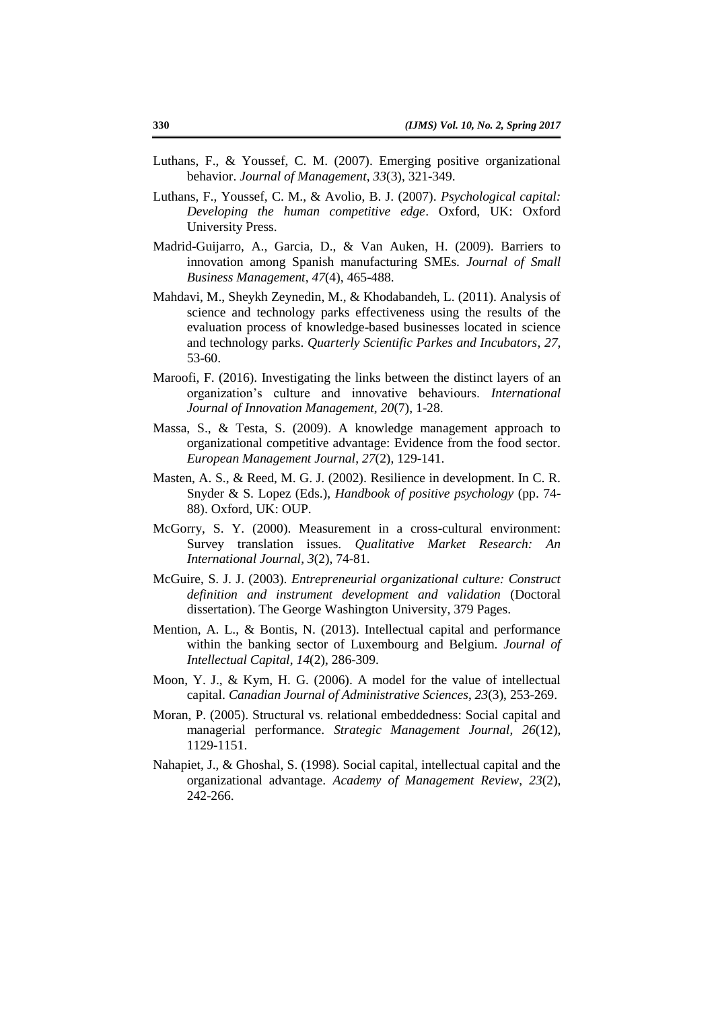- Luthans, F., & Youssef, C. M. (2007). Emerging positive organizational behavior. *Journal of Management*, *33*(3), 321-349.
- Luthans, F., Youssef, C. M., & Avolio, B. J. (2007). *Psychological capital: Developing the human competitive edge*. Oxford, UK: Oxford University Press.
- Madrid-Guijarro, A., Garcia, D., & Van Auken, H. (2009). Barriers to innovation among Spanish manufacturing SMEs. *Journal of Small Business Management*, *47*(4), 465-488.
- Mahdavi, M., Sheykh Zeynedin, M., & Khodabandeh, L. (2011). Analysis of science and technology parks effectiveness using the results of the evaluation process of knowledge-based businesses located in science and technology parks. *Quarterly Scientific Parkes and Incubators*, *27*, 53-60.
- Maroofi, F. (2016). Investigating the links between the distinct layers of an organization's culture and innovative behaviours. *International Journal of Innovation Management*, *20*(7), 1-28.
- Massa, S., & Testa, S. (2009). A knowledge management approach to organizational competitive advantage: Evidence from the food sector. *European Management Journal*, *27*(2), 129-141.
- Masten, A. S., & Reed, M. G. J. (2002). Resilience in development. In C. R. Snyder & S. Lopez (Eds.), *Handbook of positive psychology* (pp. 74- 88). Oxford, UK: OUP.
- McGorry, S. Y. (2000). Measurement in a cross-cultural environment: Survey translation issues. *Qualitative Market Research: An International Journal*, *3*(2), 74-81.
- McGuire, S. J. J. (2003). *Entrepreneurial organizational culture: Construct definition and instrument development and validation* (Doctoral dissertation). The George Washington University, 379 Pages.
- Mention, A. L., & Bontis, N. (2013). Intellectual capital and performance within the banking sector of Luxembourg and Belgium. *Journal of Intellectual Capital*, *14*(2), 286-309.
- Moon, Y. J., & Kym, H. G. (2006). A model for the value of intellectual capital. *Canadian Journal of Administrative Sciences*, *23*(3), 253-269.
- Moran, P. (2005). Structural vs. relational embeddedness: Social capital and managerial performance. *Strategic Management Journal*, *26*(12), 1129-1151.
- Nahapiet, J., & Ghoshal, S. (1998). Social capital, intellectual capital and the organizational advantage. *Academy of Management Review*, *23*(2), 242-266.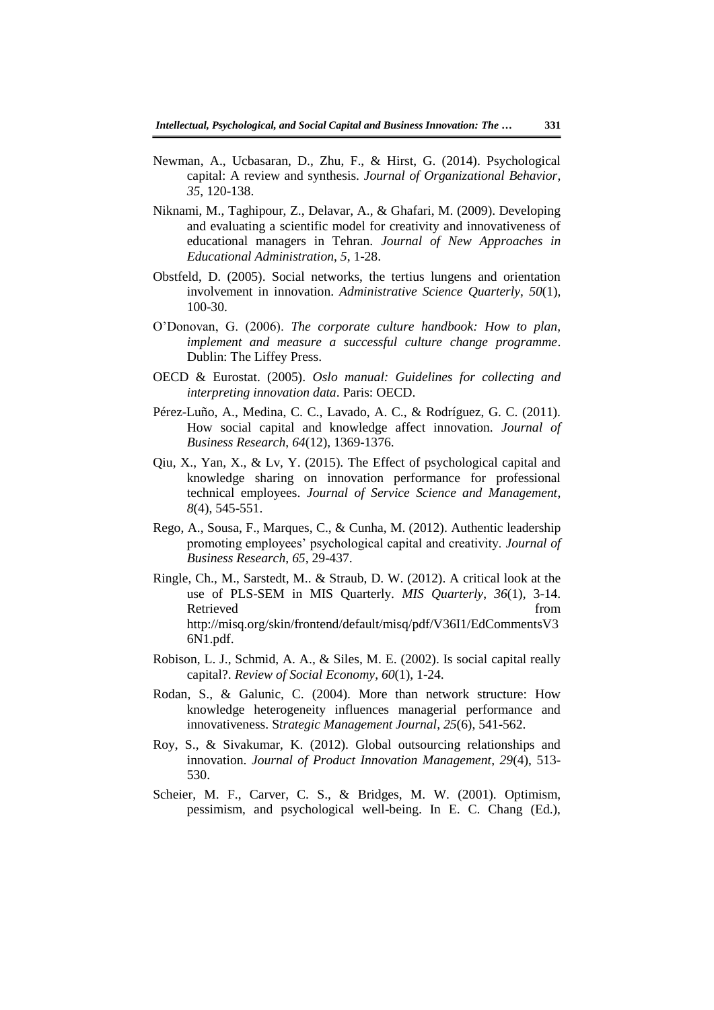- Newman, A., Ucbasaran, D., Zhu, F., & Hirst, G. (2014). Psychological capital: A review and synthesis. *Journal of Organizational Behavior*, *35*, 120-138.
- Niknami, M., Taghipour, Z., Delavar, A., & Ghafari, M. (2009). Developing and evaluating a scientific model for creativity and innovativeness of educational managers in Tehran. *Journal of New Approaches in Educational Administration*, *5*, 1-28.
- Obstfeld, D. (2005). Social networks, the tertius lungens and orientation involvement in innovation. *Administrative Science Quarterly*, *50*(1), 100-30.
- O'Donovan, G. (2006). *The corporate culture handbook: How to plan, implement and measure a successful culture change programme*. Dublin: The Liffey Press.
- OECD & Eurostat. (2005). *Oslo manual: Guidelines for collecting and interpreting innovation data*. Paris: OECD.
- Pérez-Luño, A., Medina, C. C., Lavado, A. C., & Rodríguez, G. C. (2011). How social capital and knowledge affect innovation. *Journal of Business Research*, *64*(12), 1369-1376.
- Qiu, X., Yan, X., & Lv, Y. (2015). The Effect of psychological capital and knowledge sharing on innovation performance for professional technical employees. *Journal of Service Science and Management*, *8*(4), 545-551.
- Rego, A., Sousa, F., Marques, C., & Cunha, M. (2012). Authentic leadership promoting employees' psychological capital and creativity. *Journal of Business Research*, *65*, 29-437.
- Ringle, Ch., M., Sarstedt, M.. & Straub, D. W. (2012). A critical look at the use of PLS-SEM in MIS Quarterly. *MIS Quarterly*, *36*(1), 3-14. Retrieved http://misq.org/skin/frontend/default/misq/pdf/V36I1/EdCommentsV3 6N1.pdf.
- Robison, L. J., Schmid, A. A., & Siles, M. E. (2002). Is social capital really capital?. *Review of Social Economy*, *60*(1), 1-24.
- Rodan, S., & Galunic, C. (2004). More than network structure: How knowledge heterogeneity influences managerial performance and innovativeness. S*trategic Management Journal*, *25*(6), 541-562.
- Roy, S., & Sivakumar, K. (2012). Global outsourcing relationships and innovation. *Journal of Product Innovation Management*, *29*(4), 513- 530.
- Scheier, M. F., Carver, C. S., & Bridges, M. W. (2001). Optimism, pessimism, and psychological well-being. In E. C. Chang (Ed.),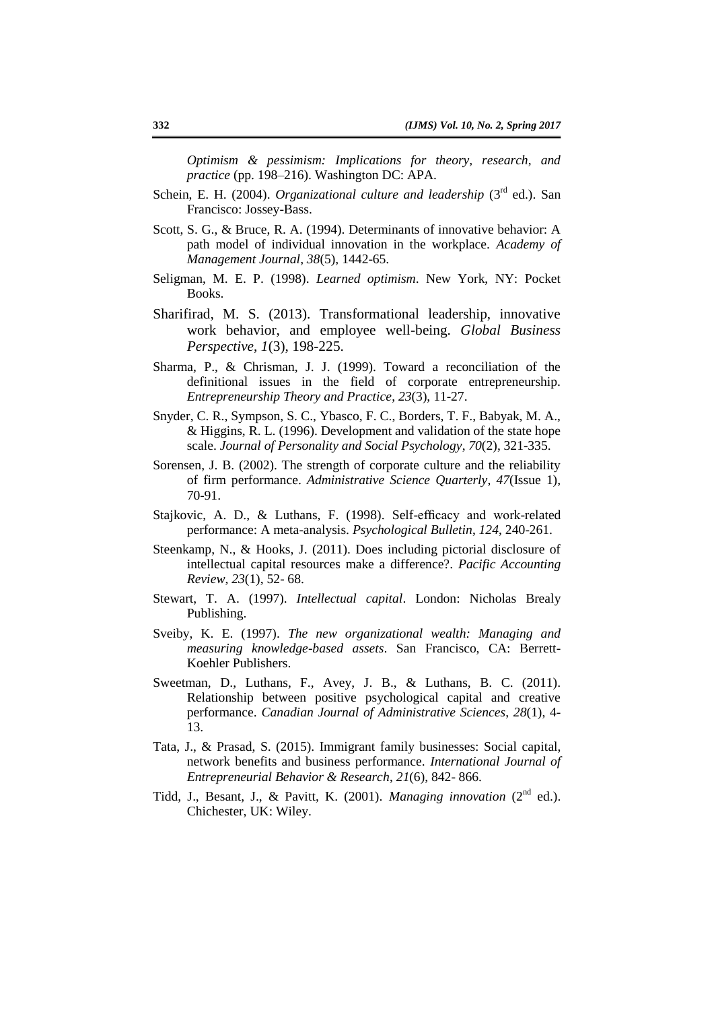*Optimism & pessimism: Implications for theory, research, and practice* (pp. 198–216). Washington DC: APA.

- Schein, E. H. (2004). *Organizational culture and leadership* (3<sup>rd</sup> ed.). San Francisco: Jossey-Bass.
- Scott, S. G., & Bruce, R. A. (1994). Determinants of innovative behavior: A path model of individual innovation in the workplace. *Academy of Management Journal*, *38*(5), 1442-65.
- Seligman, M. E. P. (1998). *Learned optimism*. New York, NY: Pocket Books.
- Sharifirad, M. S. (2013). Transformational leadership, innovative work behavior, and employee well-being. *Global Business Perspective*, *1*(3), 198-225.
- Sharma, P., & Chrisman, J. J. (1999). Toward a reconciliation of the definitional issues in the field of corporate entrepreneurship. *Entrepreneurship Theory and Practice*, *23*(3), 11-27.
- Snyder, C. R., Sympson, S. C., Ybasco, F. C., Borders, T. F., Babyak, M. A., & Higgins, R. L. (1996). Development and validation of the state hope scale. *Journal of Personality and Social Psychology*, *70*(2), 321-335.
- Sorensen, J. B. (2002). The strength of corporate culture and the reliability of firm performance. *Administrative Science Quarterly*, *47*(Issue 1), 70-91.
- Stajkovic, A. D., & Luthans, F. (1998). Self-efficacy and work-related performance: A meta-analysis. *Psychological Bulletin*, *124*, 240-261.
- Steenkamp, N., & Hooks, J. (2011). Does including pictorial disclosure of intellectual capital resources make a difference?. *Pacific Accounting Review*, *23*(1), 52- 68.
- Stewart, T. A. (1997). *Intellectual capital*. London: Nicholas Brealy Publishing.
- Sveiby, K. E. (1997). *The new organizational wealth: Managing and measuring knowledge-based assets*. San Francisco, CA: Berrett-Koehler Publishers.
- Sweetman, D., Luthans, F., Avey, J. B., & Luthans, B. C. (2011). Relationship between positive psychological capital and creative performance. *Canadian Journal of Administrative Sciences*, *28*(1), 4- 13.
- Tata, J., & Prasad, S. (2015). Immigrant family businesses: Social capital, network benefits and business performance. *International Journal of Entrepreneurial Behavior & Research*, *21*(6), 842- 866.
- Tidd, J., Besant, J., & Pavitt, K. (2001). *Managing innovation* (2<sup>nd</sup> ed.). Chichester, UK: Wiley.